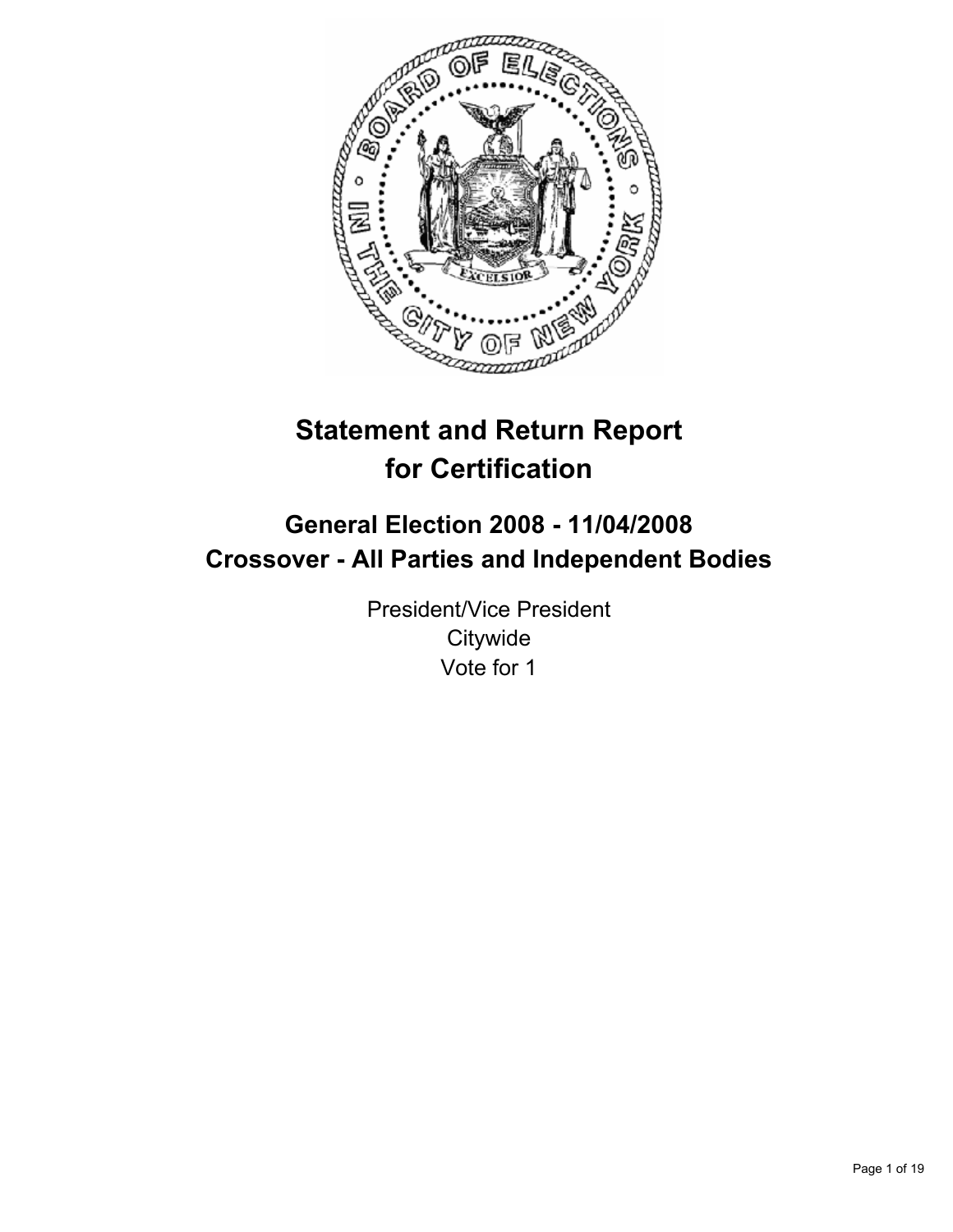

# **Statement and Return Report for Certification**

# **General Election 2008 - 11/04/2008 Crossover - All Parties and Independent Bodies**

President/Vice President **Citywide** Vote for 1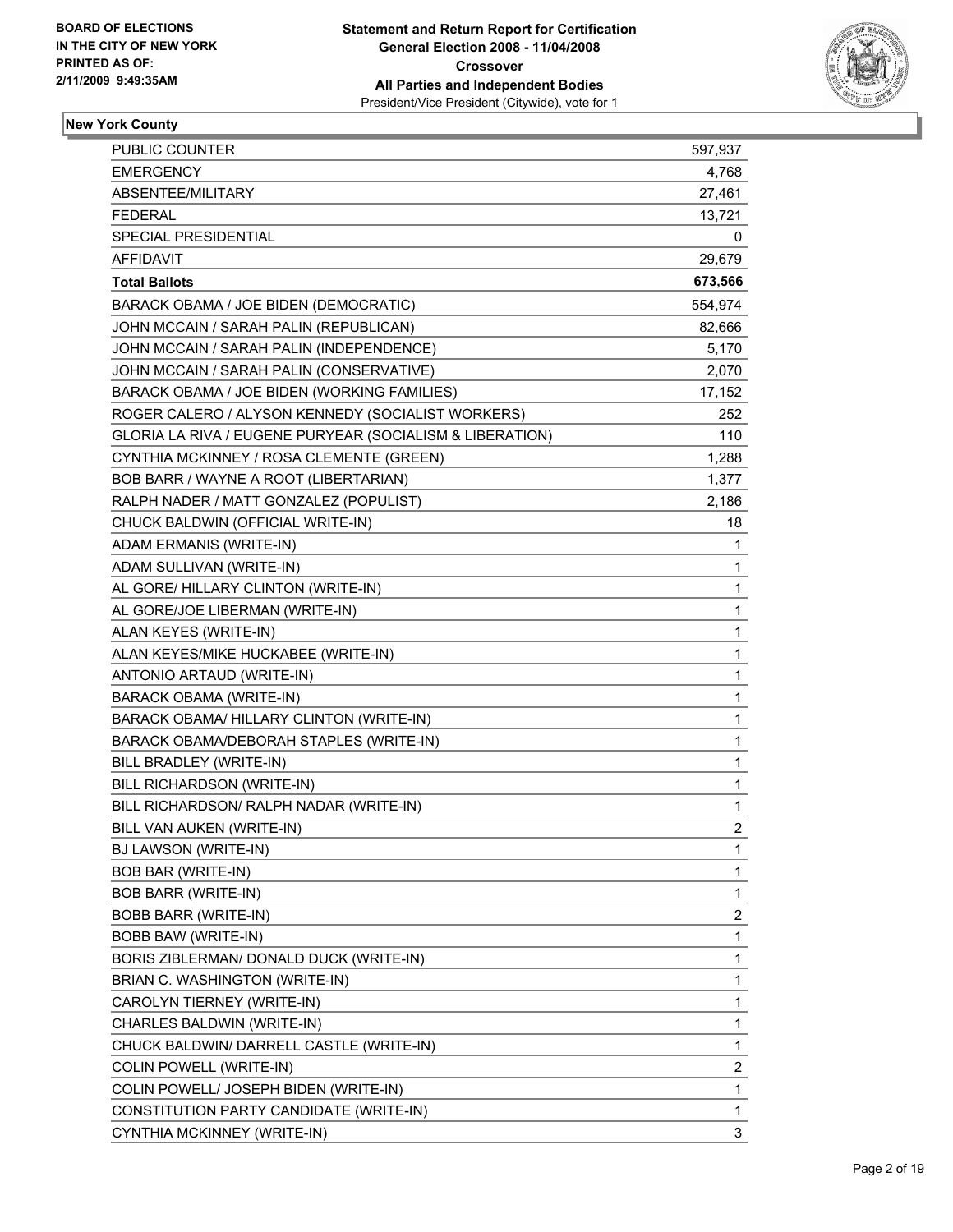

| PUBLIC COUNTER                                           | 597,937          |
|----------------------------------------------------------|------------------|
| <b>EMERGENCY</b>                                         | 4,768            |
| ABSENTEE/MILITARY                                        | 27,461           |
| <b>FEDERAL</b>                                           | 13,721           |
| <b>SPECIAL PRESIDENTIAL</b>                              | 0                |
| <b>AFFIDAVIT</b>                                         | 29,679           |
| <b>Total Ballots</b>                                     | 673,566          |
| BARACK OBAMA / JOE BIDEN (DEMOCRATIC)                    | 554,974          |
| JOHN MCCAIN / SARAH PALIN (REPUBLICAN)                   | 82,666           |
| JOHN MCCAIN / SARAH PALIN (INDEPENDENCE)                 | 5,170            |
| JOHN MCCAIN / SARAH PALIN (CONSERVATIVE)                 | 2,070            |
| BARACK OBAMA / JOE BIDEN (WORKING FAMILIES)              | 17,152           |
| ROGER CALERO / ALYSON KENNEDY (SOCIALIST WORKERS)        | 252              |
| GLORIA LA RIVA / EUGENE PURYEAR (SOCIALISM & LIBERATION) | 110              |
| CYNTHIA MCKINNEY / ROSA CLEMENTE (GREEN)                 | 1,288            |
| BOB BARR / WAYNE A ROOT (LIBERTARIAN)                    | 1,377            |
| RALPH NADER / MATT GONZALEZ (POPULIST)                   | 2,186            |
| CHUCK BALDWIN (OFFICIAL WRITE-IN)                        | 18               |
| ADAM ERMANIS (WRITE-IN)                                  | 1                |
| ADAM SULLIVAN (WRITE-IN)                                 | 1                |
| AL GORE/ HILLARY CLINTON (WRITE-IN)                      | 1                |
| AL GORE/JOE LIBERMAN (WRITE-IN)                          | 1                |
| ALAN KEYES (WRITE-IN)                                    | 1                |
| ALAN KEYES/MIKE HUCKABEE (WRITE-IN)                      | 1                |
| ANTONIO ARTAUD (WRITE-IN)                                | 1                |
| <b>BARACK OBAMA (WRITE-IN)</b>                           | 1                |
| BARACK OBAMA/ HILLARY CLINTON (WRITE-IN)                 | 1                |
| BARACK OBAMA/DEBORAH STAPLES (WRITE-IN)                  | 1                |
| BILL BRADLEY (WRITE-IN)                                  | 1                |
| BILL RICHARDSON (WRITE-IN)                               | 1                |
| BILL RICHARDSON/ RALPH NADAR (WRITE-IN)                  | 1                |
| BILL VAN AUKEN (WRITE-IN)                                | $\overline{2}$   |
| BJ LAWSON (WRITE-IN)                                     | 1                |
| <b>BOB BAR (WRITE-IN)</b>                                | 1                |
| <b>BOB BARR (WRITE-IN)</b>                               | 1                |
| <b>BOBB BARR (WRITE-IN)</b>                              | 2                |
| <b>BOBB BAW (WRITE-IN)</b>                               | 1                |
| BORIS ZIBLERMAN/ DONALD DUCK (WRITE-IN)                  | 1                |
| BRIAN C. WASHINGTON (WRITE-IN)                           | 1                |
| CAROLYN TIERNEY (WRITE-IN)                               | 1                |
| CHARLES BALDWIN (WRITE-IN)                               | 1                |
| CHUCK BALDWIN/ DARRELL CASTLE (WRITE-IN)                 | 1                |
| COLIN POWELL (WRITE-IN)                                  | $\boldsymbol{2}$ |
| COLIN POWELL/ JOSEPH BIDEN (WRITE-IN)                    | 1                |
| CONSTITUTION PARTY CANDIDATE (WRITE-IN)                  | 1                |
| CYNTHIA MCKINNEY (WRITE-IN)                              | 3                |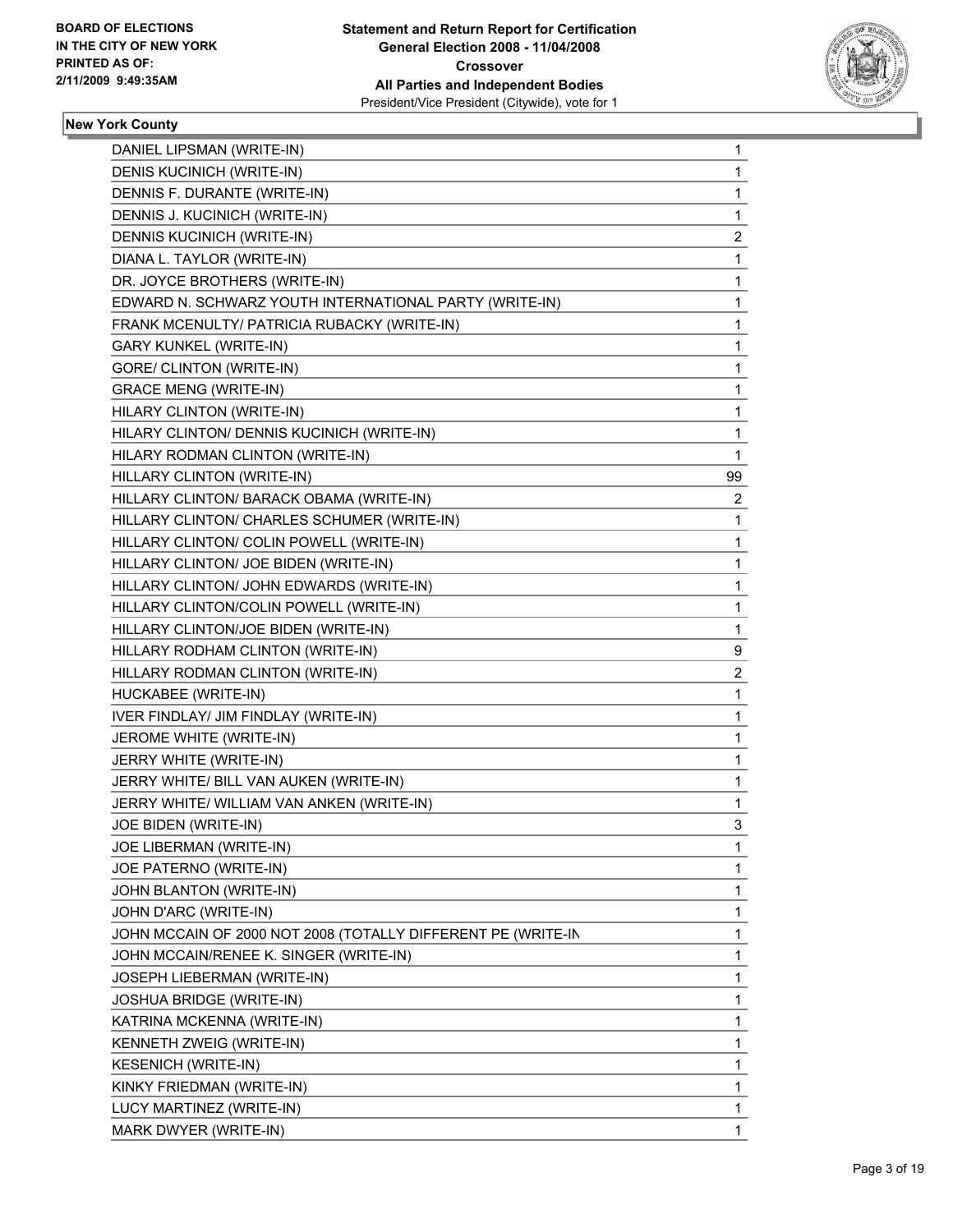

| DANIEL LIPSMAN (WRITE-IN)                                    | $\mathbf{1}$   |
|--------------------------------------------------------------|----------------|
| DENIS KUCINICH (WRITE-IN)                                    | 1              |
| DENNIS F. DURANTE (WRITE-IN)                                 | 1              |
| DENNIS J. KUCINICH (WRITE-IN)                                | $\mathbf 1$    |
| DENNIS KUCINICH (WRITE-IN)                                   | $\overline{c}$ |
| DIANA L. TAYLOR (WRITE-IN)                                   | 1              |
| DR. JOYCE BROTHERS (WRITE-IN)                                | $\mathbf{1}$   |
| EDWARD N. SCHWARZ YOUTH INTERNATIONAL PARTY (WRITE-IN)       | 1              |
| FRANK MCENULTY/ PATRICIA RUBACKY (WRITE-IN)                  | 1              |
| <b>GARY KUNKEL (WRITE-IN)</b>                                | 1              |
| <b>GORE/ CLINTON (WRITE-IN)</b>                              | $\mathbf{1}$   |
| <b>GRACE MENG (WRITE-IN)</b>                                 | 1              |
| HILARY CLINTON (WRITE-IN)                                    | $\mathbf{1}$   |
| HILARY CLINTON/ DENNIS KUCINICH (WRITE-IN)                   | $\mathbf{1}$   |
| HILARY RODMAN CLINTON (WRITE-IN)                             | $\mathbf{1}$   |
| HILLARY CLINTON (WRITE-IN)                                   | 99             |
| HILLARY CLINTON/ BARACK OBAMA (WRITE-IN)                     | $\overline{2}$ |
| HILLARY CLINTON/ CHARLES SCHUMER (WRITE-IN)                  | 1              |
| HILLARY CLINTON/ COLIN POWELL (WRITE-IN)                     | $\mathbf{1}$   |
| HILLARY CLINTON/ JOE BIDEN (WRITE-IN)                        | $\mathbf{1}$   |
| HILLARY CLINTON/ JOHN EDWARDS (WRITE-IN)                     | 1              |
| HILLARY CLINTON/COLIN POWELL (WRITE-IN)                      | $\mathbf{1}$   |
| HILLARY CLINTON/JOE BIDEN (WRITE-IN)                         | $\mathbf{1}$   |
| HILLARY RODHAM CLINTON (WRITE-IN)                            | 9              |
| HILLARY RODMAN CLINTON (WRITE-IN)                            | 2              |
| HUCKABEE (WRITE-IN)                                          | $\mathbf{1}$   |
| IVER FINDLAY/ JIM FINDLAY (WRITE-IN)                         | 1              |
| JEROME WHITE (WRITE-IN)                                      | 1              |
| JERRY WHITE (WRITE-IN)                                       | $\mathbf{1}$   |
| JERRY WHITE/ BILL VAN AUKEN (WRITE-IN)                       | 1              |
| JERRY WHITE/ WILLIAM VAN ANKEN (WRITE-IN)                    | $\mathbf{1}$   |
|                                                              | 3              |
| JOE BIDEN (WRITE-IN)                                         |                |
| JOE LIBERMAN (WRITE-IN)                                      | 1              |
| JOE PATERNO (WRITE-IN)                                       | 1              |
| JOHN BLANTON (WRITE-IN)                                      | 1              |
| JOHN D'ARC (WRITE-IN)                                        | 1              |
| JOHN MCCAIN OF 2000 NOT 2008 (TOTALLY DIFFERENT PE (WRITE-IN | 1              |
| JOHN MCCAIN/RENEE K. SINGER (WRITE-IN)                       | 1              |
| JOSEPH LIEBERMAN (WRITE-IN)                                  | 1              |
| <b>JOSHUA BRIDGE (WRITE-IN)</b>                              | 1              |
| KATRINA MCKENNA (WRITE-IN)                                   | 1              |
| KENNETH ZWEIG (WRITE-IN)                                     | 1              |
| <b>KESENICH (WRITE-IN)</b>                                   | 1              |
| KINKY FRIEDMAN (WRITE-IN)                                    | 1              |
| LUCY MARTINEZ (WRITE-IN)                                     | 1              |
| MARK DWYER (WRITE-IN)                                        | 1              |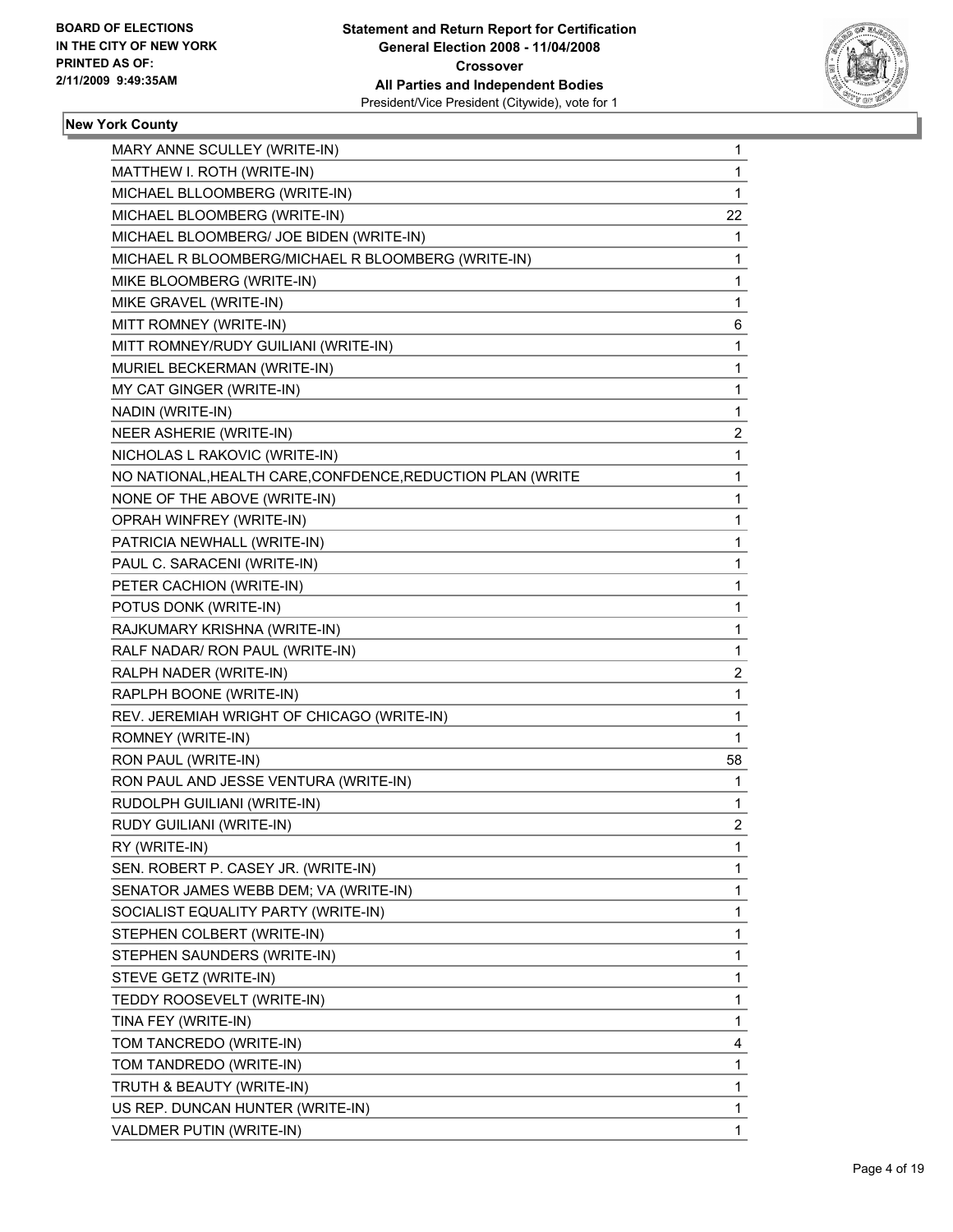

| MARY ANNE SCULLEY (WRITE-IN)                               | $\mathbf 1$             |
|------------------------------------------------------------|-------------------------|
| MATTHEW I. ROTH (WRITE-IN)                                 | 1                       |
| MICHAEL BLLOOMBERG (WRITE-IN)                              | 1                       |
| MICHAEL BLOOMBERG (WRITE-IN)                               | 22                      |
| MICHAEL BLOOMBERG/ JOE BIDEN (WRITE-IN)                    | 1                       |
| MICHAEL R BLOOMBERG/MICHAEL R BLOOMBERG (WRITE-IN)         | 1                       |
| MIKE BLOOMBERG (WRITE-IN)                                  | 1                       |
| MIKE GRAVEL (WRITE-IN)                                     | 1                       |
| MITT ROMNEY (WRITE-IN)                                     | 6                       |
| MITT ROMNEY/RUDY GUILIANI (WRITE-IN)                       | 1                       |
| MURIEL BECKERMAN (WRITE-IN)                                | 1                       |
| MY CAT GINGER (WRITE-IN)                                   | 1                       |
| NADIN (WRITE-IN)                                           | 1                       |
| NEER ASHERIE (WRITE-IN)                                    | $\overline{\mathbf{c}}$ |
| NICHOLAS L RAKOVIC (WRITE-IN)                              | 1                       |
| NO NATIONAL, HEALTH CARE, CONFDENCE, REDUCTION PLAN (WRITE | 1                       |
| NONE OF THE ABOVE (WRITE-IN)                               | 1                       |
| OPRAH WINFREY (WRITE-IN)                                   | 1                       |
| PATRICIA NEWHALL (WRITE-IN)                                | 1                       |
| PAUL C. SARACENI (WRITE-IN)                                | 1                       |
| PETER CACHION (WRITE-IN)                                   | 1                       |
| POTUS DONK (WRITE-IN)                                      | 1                       |
| RAJKUMARY KRISHNA (WRITE-IN)                               | 1                       |
| RALF NADAR/ RON PAUL (WRITE-IN)                            | 1                       |
| RALPH NADER (WRITE-IN)                                     | 2                       |
| RAPLPH BOONE (WRITE-IN)                                    | 1                       |
| REV. JEREMIAH WRIGHT OF CHICAGO (WRITE-IN)                 | 1                       |
| ROMNEY (WRITE-IN)                                          | 1                       |
| RON PAUL (WRITE-IN)                                        | 58                      |
| RON PAUL AND JESSE VENTURA (WRITE-IN)                      | 1                       |
| RUDOLPH GUILIANI (WRITE-IN)                                | 1                       |
| RUDY GUILIANI (WRITE-IN)                                   | $\overline{2}$          |
| RY (WRITE-IN)                                              | $\mathbf{1}$            |
| SEN. ROBERT P. CASEY JR. (WRITE-IN)                        | 1                       |
| SENATOR JAMES WEBB DEM; VA (WRITE-IN)                      | 1                       |
| SOCIALIST EQUALITY PARTY (WRITE-IN)                        | 1                       |
| STEPHEN COLBERT (WRITE-IN)                                 | 1                       |
| STEPHEN SAUNDERS (WRITE-IN)                                | 1                       |
| STEVE GETZ (WRITE-IN)                                      | 1                       |
| TEDDY ROOSEVELT (WRITE-IN)                                 | 1                       |
| TINA FEY (WRITE-IN)                                        | 1                       |
| TOM TANCREDO (WRITE-IN)                                    | 4                       |
| TOM TANDREDO (WRITE-IN)                                    | 1                       |
| TRUTH & BEAUTY (WRITE-IN)                                  | 1                       |
| US REP. DUNCAN HUNTER (WRITE-IN)                           | 1                       |
| VALDMER PUTIN (WRITE-IN)                                   | 1                       |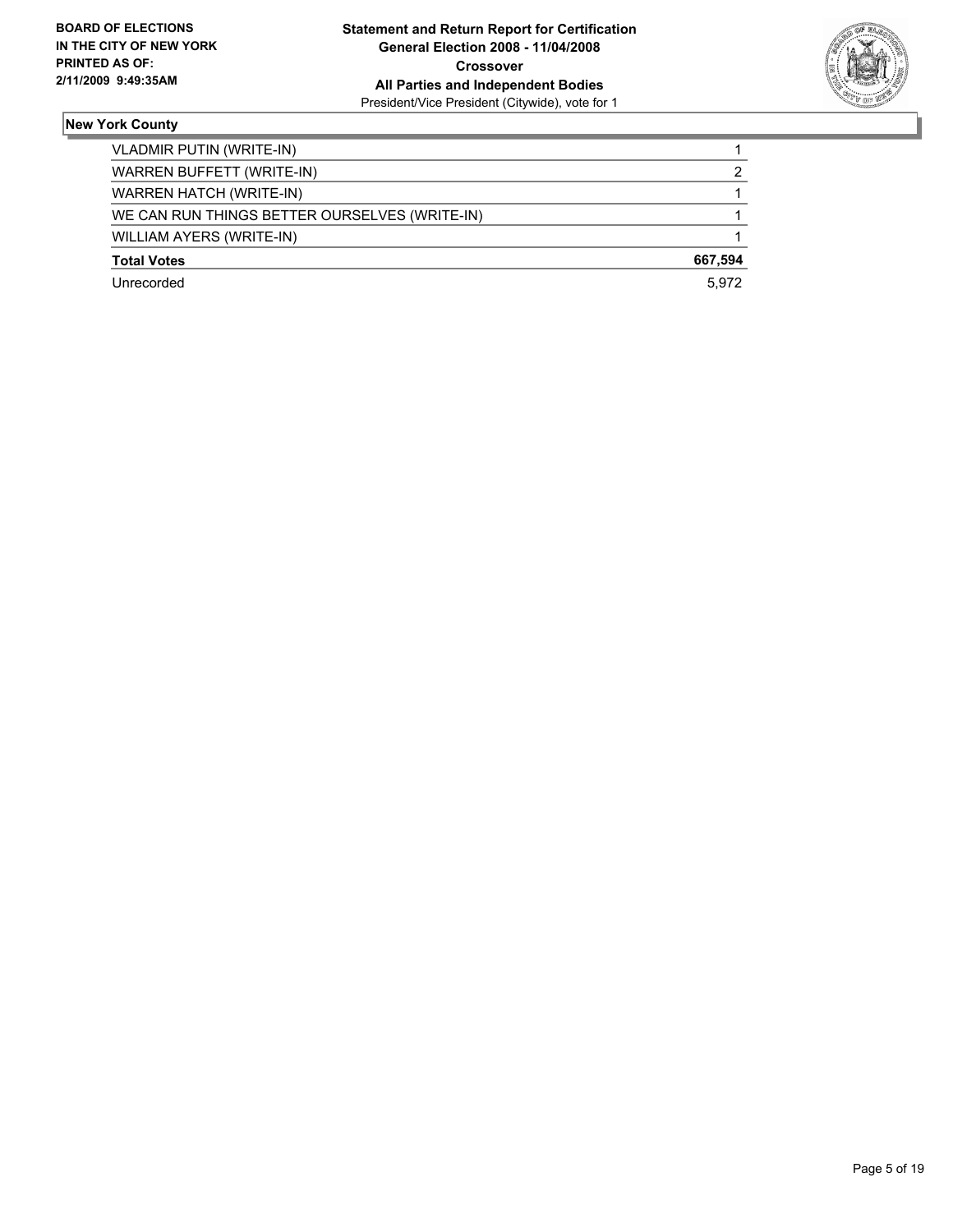

| VLADMIR PUTIN (WRITE-IN)                      |         |
|-----------------------------------------------|---------|
| WARREN BUFFETT (WRITE-IN)                     |         |
| <b>WARREN HATCH (WRITE-IN)</b>                |         |
| WE CAN RUN THINGS BETTER OURSELVES (WRITE-IN) |         |
| WILLIAM AYERS (WRITE-IN)                      |         |
| <b>Total Votes</b>                            | 667,594 |
| Unrecorded                                    | 5.972   |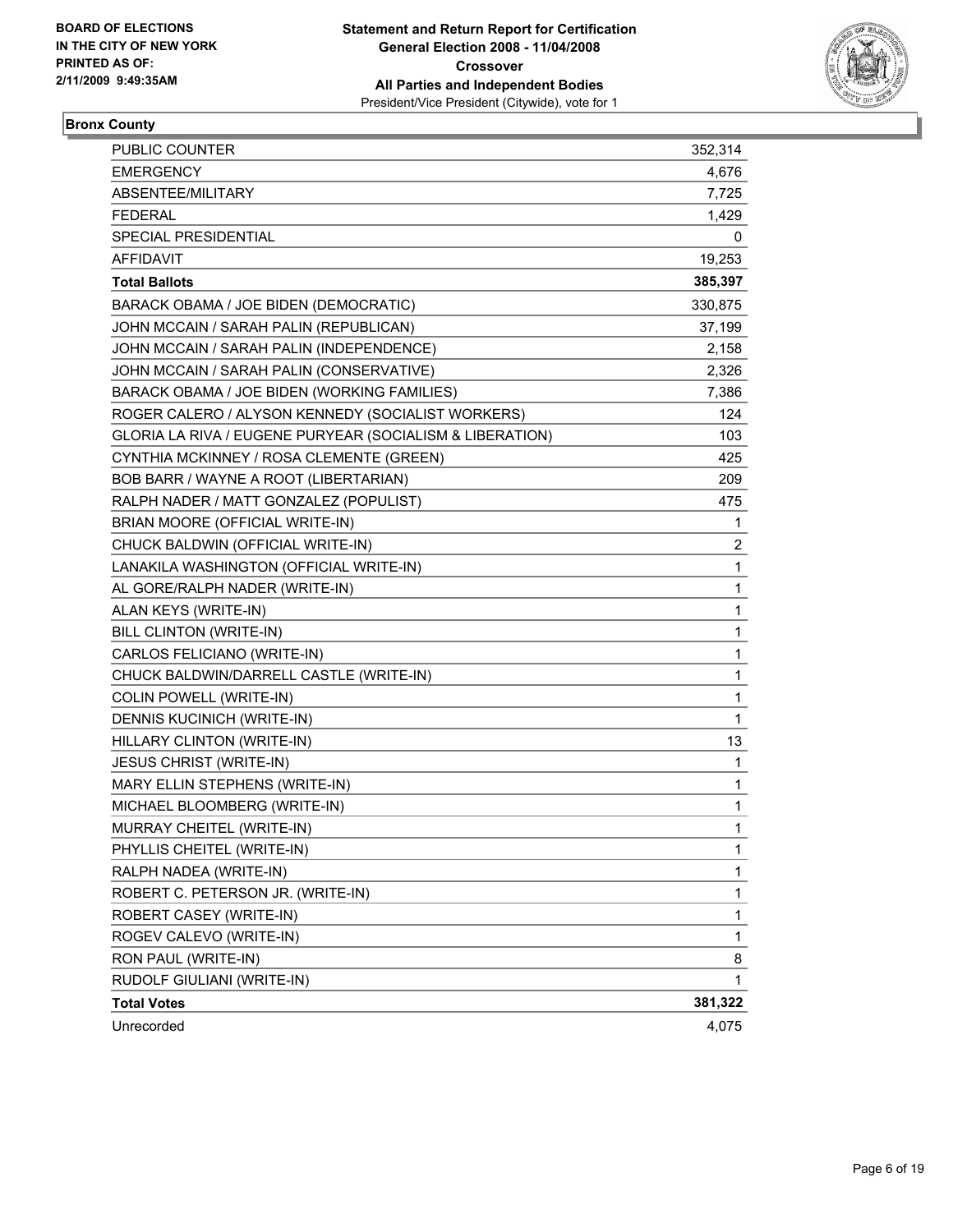

#### **Bronx County**

| <b>PUBLIC COUNTER</b>                                    | 352,314 |
|----------------------------------------------------------|---------|
| <b>EMERGENCY</b>                                         | 4,676   |
| ABSENTEE/MILITARY                                        | 7,725   |
| <b>FEDERAL</b>                                           | 1,429   |
| <b>SPECIAL PRESIDENTIAL</b>                              | 0       |
| <b>AFFIDAVIT</b>                                         | 19,253  |
| <b>Total Ballots</b>                                     | 385,397 |
| BARACK OBAMA / JOE BIDEN (DEMOCRATIC)                    | 330,875 |
| JOHN MCCAIN / SARAH PALIN (REPUBLICAN)                   | 37,199  |
| JOHN MCCAIN / SARAH PALIN (INDEPENDENCE)                 | 2,158   |
| JOHN MCCAIN / SARAH PALIN (CONSERVATIVE)                 | 2,326   |
| BARACK OBAMA / JOE BIDEN (WORKING FAMILIES)              | 7,386   |
| ROGER CALERO / ALYSON KENNEDY (SOCIALIST WORKERS)        | 124     |
| GLORIA LA RIVA / EUGENE PURYEAR (SOCIALISM & LIBERATION) | 103     |
| CYNTHIA MCKINNEY / ROSA CLEMENTE (GREEN)                 | 425     |
| BOB BARR / WAYNE A ROOT (LIBERTARIAN)                    | 209     |
| RALPH NADER / MATT GONZALEZ (POPULIST)                   | 475     |
| BRIAN MOORE (OFFICIAL WRITE-IN)                          | 1       |
| CHUCK BALDWIN (OFFICIAL WRITE-IN)                        | 2       |
| LANAKILA WASHINGTON (OFFICIAL WRITE-IN)                  | 1       |
| AL GORE/RALPH NADER (WRITE-IN)                           | 1       |
| ALAN KEYS (WRITE-IN)                                     | 1       |
| BILL CLINTON (WRITE-IN)                                  | 1       |
| CARLOS FELICIANO (WRITE-IN)                              | 1       |
| CHUCK BALDWIN/DARRELL CASTLE (WRITE-IN)                  | 1       |
| COLIN POWELL (WRITE-IN)                                  | 1       |
| DENNIS KUCINICH (WRITE-IN)                               | 1       |
| HILLARY CLINTON (WRITE-IN)                               | 13      |
| JESUS CHRIST (WRITE-IN)                                  | 1       |
| MARY ELLIN STEPHENS (WRITE-IN)                           | 1       |
| MICHAEL BLOOMBERG (WRITE-IN)                             | 1       |
| MURRAY CHEITEL (WRITE-IN)                                | 1       |
| PHYLLIS CHEITEL (WRITE-IN)                               | 1       |
| RALPH NADEA (WRITE-IN)                                   | 1       |
| ROBERT C. PETERSON JR. (WRITE-IN)                        | 1       |
| ROBERT CASEY (WRITE-IN)                                  | 1       |
| ROGEV CALEVO (WRITE-IN)                                  | 1       |
| RON PAUL (WRITE-IN)                                      | 8       |
| RUDOLF GIULIANI (WRITE-IN)                               | 1       |
| <b>Total Votes</b>                                       | 381,322 |
| Unrecorded                                               | 4,075   |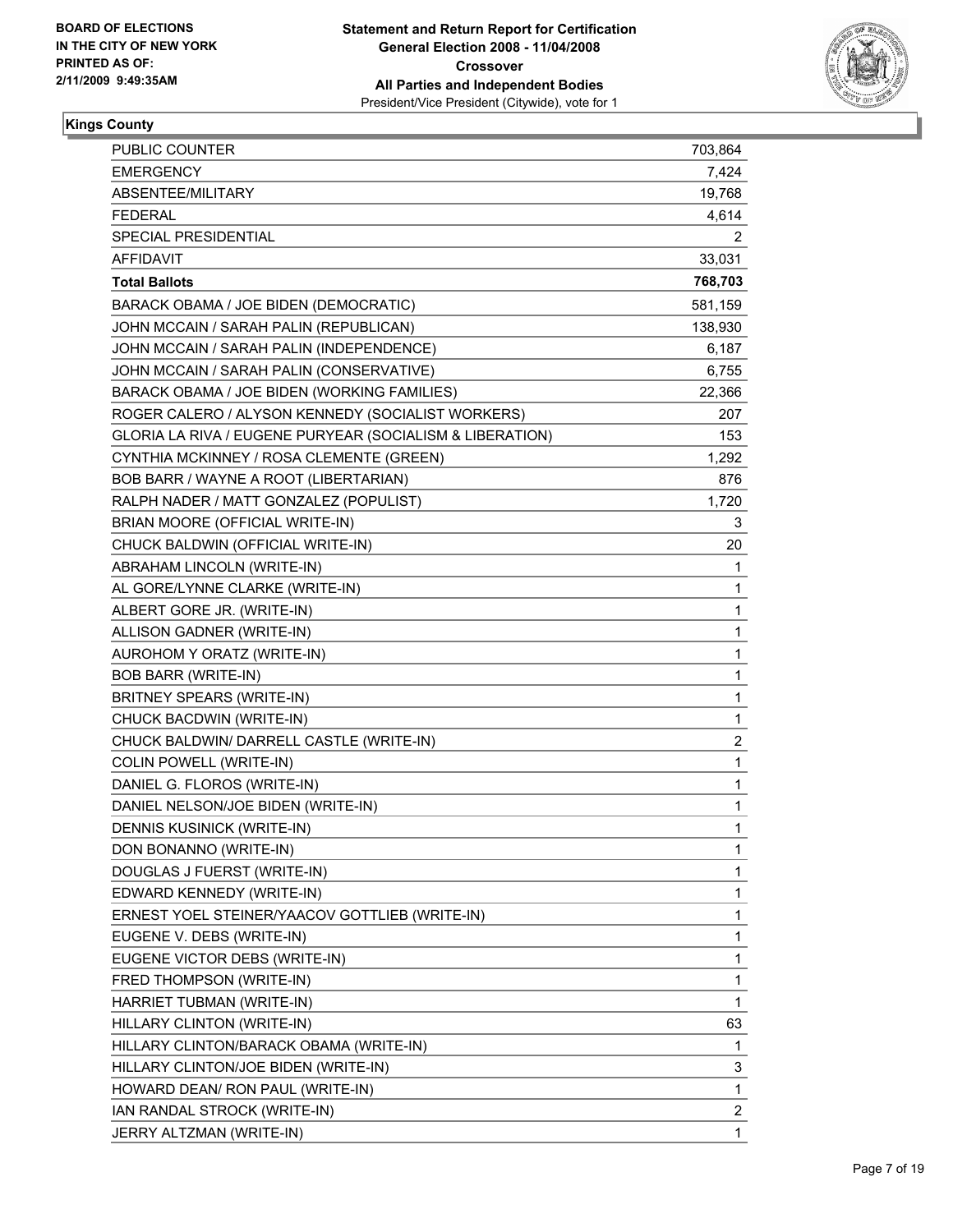

#### **Kings County**

| <b>PUBLIC COUNTER</b>                                    | 703,864                 |
|----------------------------------------------------------|-------------------------|
| <b>EMERGENCY</b>                                         | 7,424                   |
| ABSENTEE/MILITARY                                        | 19,768                  |
| <b>FEDERAL</b>                                           | 4,614                   |
| SPECIAL PRESIDENTIAL                                     | 2                       |
| <b>AFFIDAVIT</b>                                         | 33,031                  |
| <b>Total Ballots</b>                                     | 768,703                 |
| BARACK OBAMA / JOE BIDEN (DEMOCRATIC)                    | 581,159                 |
| JOHN MCCAIN / SARAH PALIN (REPUBLICAN)                   | 138,930                 |
| JOHN MCCAIN / SARAH PALIN (INDEPENDENCE)                 | 6,187                   |
| JOHN MCCAIN / SARAH PALIN (CONSERVATIVE)                 | 6,755                   |
| BARACK OBAMA / JOE BIDEN (WORKING FAMILIES)              | 22,366                  |
| ROGER CALERO / ALYSON KENNEDY (SOCIALIST WORKERS)        | 207                     |
| GLORIA LA RIVA / EUGENE PURYEAR (SOCIALISM & LIBERATION) | 153                     |
| CYNTHIA MCKINNEY / ROSA CLEMENTE (GREEN)                 | 1,292                   |
| BOB BARR / WAYNE A ROOT (LIBERTARIAN)                    | 876                     |
| RALPH NADER / MATT GONZALEZ (POPULIST)                   | 1,720                   |
| BRIAN MOORE (OFFICIAL WRITE-IN)                          | 3                       |
| CHUCK BALDWIN (OFFICIAL WRITE-IN)                        | 20                      |
| ABRAHAM LINCOLN (WRITE-IN)                               | 1                       |
| AL GORE/LYNNE CLARKE (WRITE-IN)                          | 1                       |
| ALBERT GORE JR. (WRITE-IN)                               | 1                       |
| ALLISON GADNER (WRITE-IN)                                | 1                       |
| AUROHOM Y ORATZ (WRITE-IN)                               | 1                       |
| <b>BOB BARR (WRITE-IN)</b>                               | 1                       |
| BRITNEY SPEARS (WRITE-IN)                                | 1                       |
| CHUCK BACDWIN (WRITE-IN)                                 | 1                       |
| CHUCK BALDWIN/ DARRELL CASTLE (WRITE-IN)                 | $\overline{\mathbf{c}}$ |
| COLIN POWELL (WRITE-IN)                                  | 1                       |
| DANIEL G. FLOROS (WRITE-IN)                              | 1                       |
| DANIEL NELSON/JOE BIDEN (WRITE-IN)                       | 1                       |
| <b>DENNIS KUSINICK (WRITE-IN)</b>                        | 1                       |
| DON BONANNO (WRITE-IN)                                   | 1                       |
| DOUGLAS J FUERST (WRITE-IN)                              | 1                       |
| EDWARD KENNEDY (WRITE-IN)                                | 1                       |
| ERNEST YOEL STEINER/YAACOV GOTTLIEB (WRITE-IN)           | 1                       |
| EUGENE V. DEBS (WRITE-IN)                                | 1                       |
| EUGENE VICTOR DEBS (WRITE-IN)                            | 1                       |
| FRED THOMPSON (WRITE-IN)                                 | 1                       |
| HARRIET TUBMAN (WRITE-IN)                                | 1                       |
| HILLARY CLINTON (WRITE-IN)                               | 63                      |
| HILLARY CLINTON/BARACK OBAMA (WRITE-IN)                  | 1                       |
| HILLARY CLINTON/JOE BIDEN (WRITE-IN)                     | 3                       |
| HOWARD DEAN/ RON PAUL (WRITE-IN)                         | 1                       |
| IAN RANDAL STROCK (WRITE-IN)                             | $\overline{\mathbf{c}}$ |
| JERRY ALTZMAN (WRITE-IN)                                 | 1                       |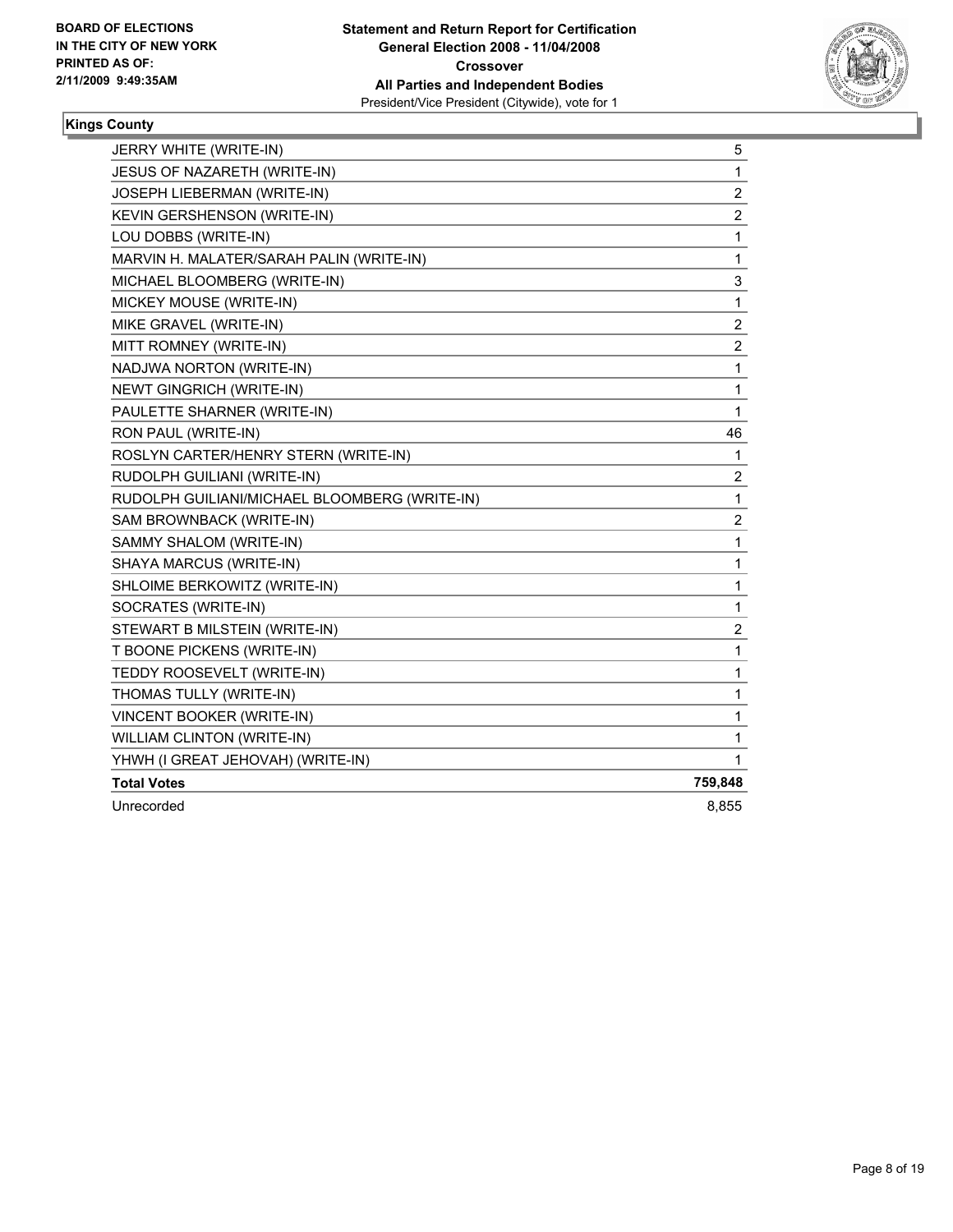

# **Kings County**

| JERRY WHITE (WRITE-IN)                        | 5                       |
|-----------------------------------------------|-------------------------|
| JESUS OF NAZARETH (WRITE-IN)                  | 1                       |
| JOSEPH LIEBERMAN (WRITE-IN)                   | $\boldsymbol{2}$        |
| KEVIN GERSHENSON (WRITE-IN)                   | $\boldsymbol{2}$        |
| LOU DOBBS (WRITE-IN)                          | $\mathbf{1}$            |
| MARVIN H. MALATER/SARAH PALIN (WRITE-IN)      | $\mathbf{1}$            |
| MICHAEL BLOOMBERG (WRITE-IN)                  | 3                       |
| MICKEY MOUSE (WRITE-IN)                       | 1                       |
| MIKE GRAVEL (WRITE-IN)                        | 2                       |
| MITT ROMNEY (WRITE-IN)                        | $\overline{2}$          |
| NADJWA NORTON (WRITE-IN)                      | 1                       |
| <b>NEWT GINGRICH (WRITE-IN)</b>               | 1                       |
| PAULETTE SHARNER (WRITE-IN)                   | 1                       |
| RON PAUL (WRITE-IN)                           | 46                      |
| ROSLYN CARTER/HENRY STERN (WRITE-IN)          | 1                       |
| RUDOLPH GUILIANI (WRITE-IN)                   | $\overline{\mathbf{c}}$ |
| RUDOLPH GUILIANI/MICHAEL BLOOMBERG (WRITE-IN) | 1                       |
| SAM BROWNBACK (WRITE-IN)                      | $\boldsymbol{2}$        |
| SAMMY SHALOM (WRITE-IN)                       | 1                       |
| SHAYA MARCUS (WRITE-IN)                       | 1                       |
| SHLOIME BERKOWITZ (WRITE-IN)                  | 1                       |
| SOCRATES (WRITE-IN)                           | 1                       |
| STEWART B MILSTEIN (WRITE-IN)                 | $\boldsymbol{2}$        |
| T BOONE PICKENS (WRITE-IN)                    | 1                       |
| TEDDY ROOSEVELT (WRITE-IN)                    | 1                       |
| THOMAS TULLY (WRITE-IN)                       | 1                       |
| VINCENT BOOKER (WRITE-IN)                     | 1                       |
| WILLIAM CLINTON (WRITE-IN)                    | 1                       |
| YHWH (I GREAT JEHOVAH) (WRITE-IN)             | 1                       |
| <b>Total Votes</b>                            | 759,848                 |
| Unrecorded                                    | 8,855                   |
|                                               |                         |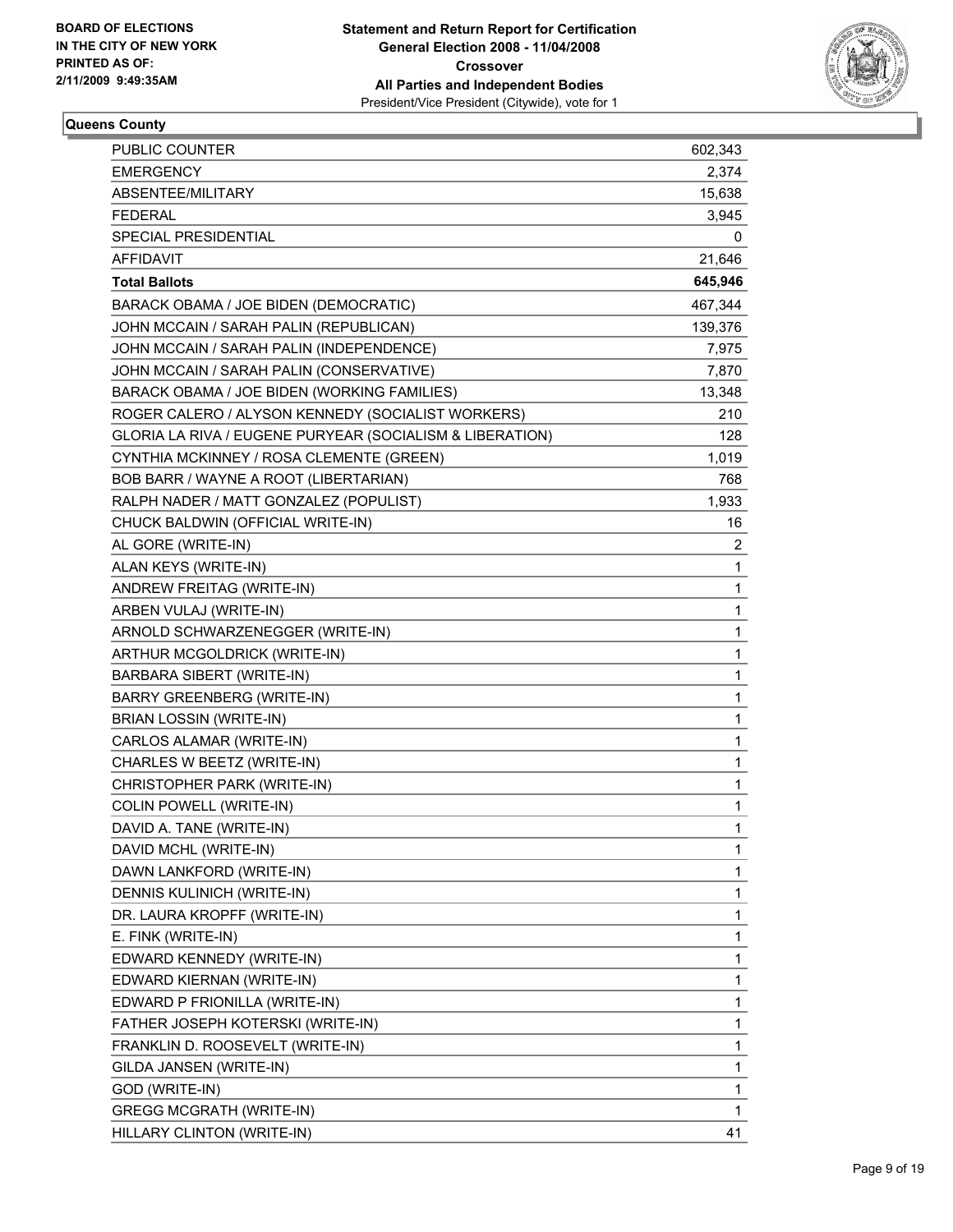

# **Queens County**

| PUBLIC COUNTER                                           | 602,343 |
|----------------------------------------------------------|---------|
| <b>EMERGENCY</b>                                         | 2,374   |
| ABSENTEE/MILITARY                                        | 15,638  |
| <b>FEDERAL</b>                                           | 3,945   |
| SPECIAL PRESIDENTIAL                                     | 0       |
| AFFIDAVIT                                                | 21,646  |
| <b>Total Ballots</b>                                     | 645,946 |
| BARACK OBAMA / JOE BIDEN (DEMOCRATIC)                    | 467,344 |
| JOHN MCCAIN / SARAH PALIN (REPUBLICAN)                   | 139,376 |
| JOHN MCCAIN / SARAH PALIN (INDEPENDENCE)                 | 7,975   |
| JOHN MCCAIN / SARAH PALIN (CONSERVATIVE)                 | 7,870   |
| BARACK OBAMA / JOE BIDEN (WORKING FAMILIES)              | 13,348  |
| ROGER CALERO / ALYSON KENNEDY (SOCIALIST WORKERS)        | 210     |
| GLORIA LA RIVA / EUGENE PURYEAR (SOCIALISM & LIBERATION) | 128     |
| CYNTHIA MCKINNEY / ROSA CLEMENTE (GREEN)                 | 1,019   |
| BOB BARR / WAYNE A ROOT (LIBERTARIAN)                    | 768     |
| RALPH NADER / MATT GONZALEZ (POPULIST)                   | 1,933   |
| CHUCK BALDWIN (OFFICIAL WRITE-IN)                        | 16      |
| AL GORE (WRITE-IN)                                       | 2       |
| ALAN KEYS (WRITE-IN)                                     | 1       |
| ANDREW FREITAG (WRITE-IN)                                | 1       |
| ARBEN VULAJ (WRITE-IN)                                   | 1       |
| ARNOLD SCHWARZENEGGER (WRITE-IN)                         | 1       |
| ARTHUR MCGOLDRICK (WRITE-IN)                             | 1       |
| <b>BARBARA SIBERT (WRITE-IN)</b>                         | 1       |
| <b>BARRY GREENBERG (WRITE-IN)</b>                        | 1       |
| BRIAN LOSSIN (WRITE-IN)                                  | 1       |
| CARLOS ALAMAR (WRITE-IN)                                 | 1       |
| CHARLES W BEETZ (WRITE-IN)                               | 1       |
| CHRISTOPHER PARK (WRITE-IN)                              | 1       |
| <b>COLIN POWELL (WRITE-IN)</b>                           | 1       |
| DAVID A. TANE (WRITE-IN)                                 | 1       |
| DAVID MCHL (WRITE-IN)                                    | 1       |
| DAWN LANKFORD (WRITE-IN)                                 | 1       |
| DENNIS KULINICH (WRITE-IN)                               | 1       |
| DR. LAURA KROPFF (WRITE-IN)                              | 1       |
| E. FINK (WRITE-IN)                                       | 1       |
| EDWARD KENNEDY (WRITE-IN)                                | 1       |
| EDWARD KIERNAN (WRITE-IN)                                | 1       |
| EDWARD P FRIONILLA (WRITE-IN)                            | 1       |
| FATHER JOSEPH KOTERSKI (WRITE-IN)                        | 1       |
| FRANKLIN D. ROOSEVELT (WRITE-IN)                         | 1       |
| GILDA JANSEN (WRITE-IN)                                  | 1       |
| GOD (WRITE-IN)                                           | 1       |
| <b>GREGG MCGRATH (WRITE-IN)</b>                          | 1       |
| HILLARY CLINTON (WRITE-IN)                               | 41      |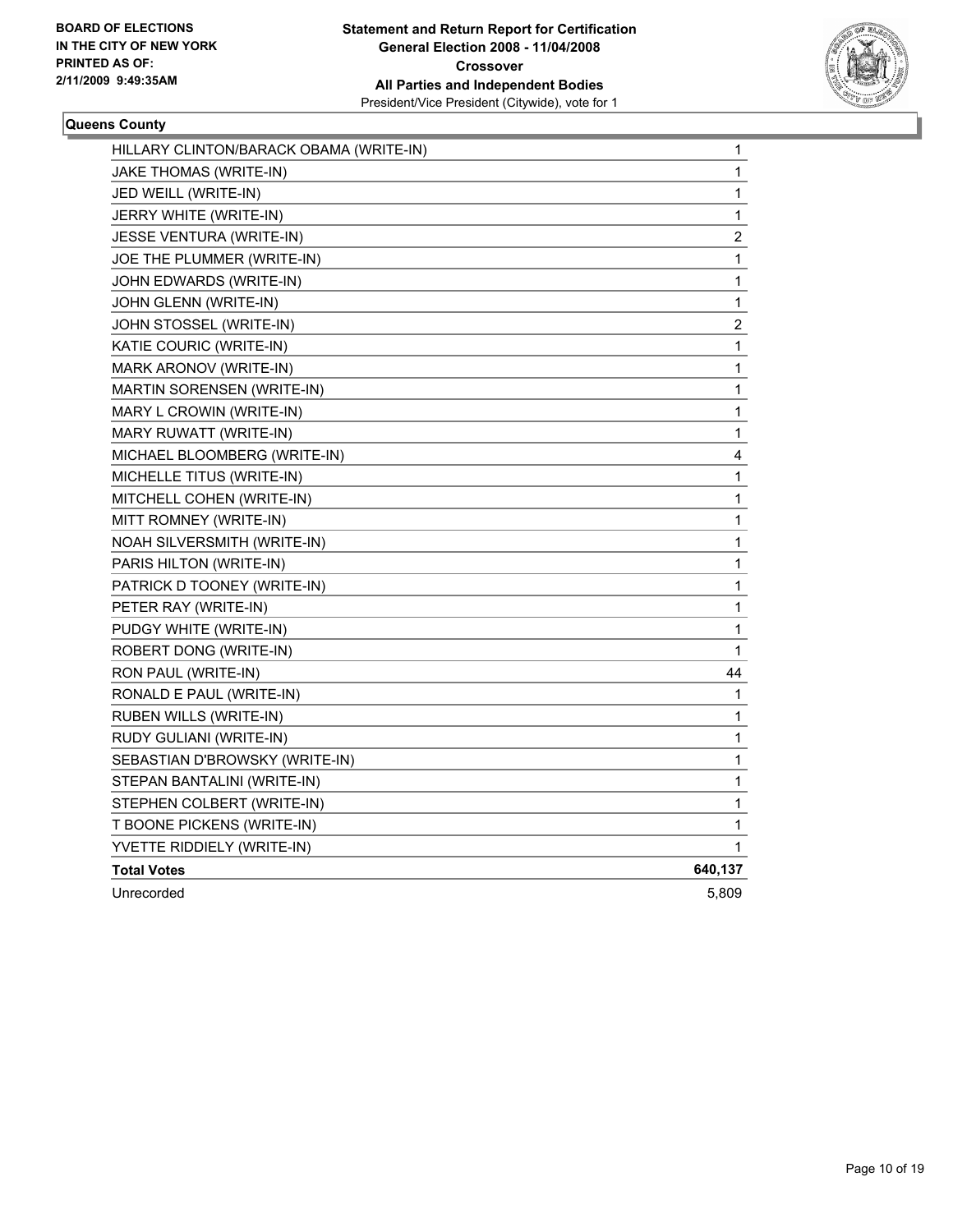

#### **Queens County**

| HILLARY CLINTON/BARACK OBAMA (WRITE-IN) | $\mathbf{1}$   |
|-----------------------------------------|----------------|
| JAKE THOMAS (WRITE-IN)                  | 1              |
| JED WEILL (WRITE-IN)                    | 1              |
| JERRY WHITE (WRITE-IN)                  | 1              |
| JESSE VENTURA (WRITE-IN)                | $\overline{c}$ |
| JOE THE PLUMMER (WRITE-IN)              | 1              |
| JOHN EDWARDS (WRITE-IN)                 | 1              |
| JOHN GLENN (WRITE-IN)                   | 1              |
| JOHN STOSSEL (WRITE-IN)                 | $\overline{c}$ |
| KATIE COURIC (WRITE-IN)                 | 1              |
| MARK ARONOV (WRITE-IN)                  | 1              |
| MARTIN SORENSEN (WRITE-IN)              | $\mathbf{1}$   |
| MARY L CROWIN (WRITE-IN)                | 1              |
| MARY RUWATT (WRITE-IN)                  | 1              |
| MICHAEL BLOOMBERG (WRITE-IN)            | 4              |
| MICHELLE TITUS (WRITE-IN)               | 1              |
| MITCHELL COHEN (WRITE-IN)               | 1              |
| MITT ROMNEY (WRITE-IN)                  | 1              |
| NOAH SILVERSMITH (WRITE-IN)             | 1              |
| PARIS HILTON (WRITE-IN)                 | 1              |
| PATRICK D TOONEY (WRITE-IN)             | 1              |
| PETER RAY (WRITE-IN)                    | 1              |
| PUDGY WHITE (WRITE-IN)                  | 1              |
| ROBERT DONG (WRITE-IN)                  | $\mathbf{1}$   |
| RON PAUL (WRITE-IN)                     | 44             |
| RONALD E PAUL (WRITE-IN)                | 1              |
| <b>RUBEN WILLS (WRITE-IN)</b>           | 1              |
| RUDY GULIANI (WRITE-IN)                 | 1              |
| SEBASTIAN D'BROWSKY (WRITE-IN)          | 1              |
| STEPAN BANTALINI (WRITE-IN)             | 1              |
| STEPHEN COLBERT (WRITE-IN)              | 1              |
| T BOONE PICKENS (WRITE-IN)              | 1              |
| YVETTE RIDDIELY (WRITE-IN)              | 1              |
| <b>Total Votes</b>                      | 640,137        |
| Unrecorded                              | 5,809          |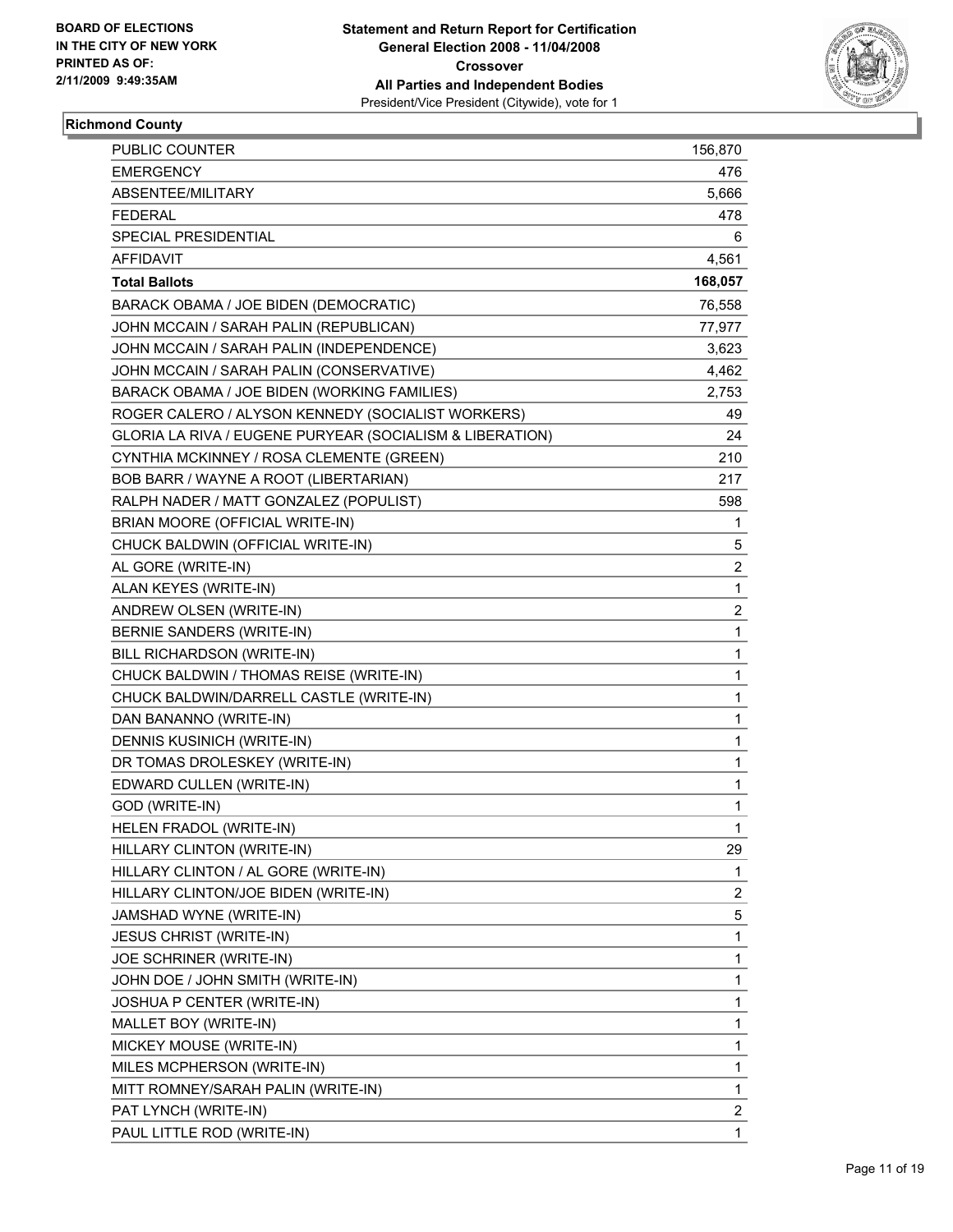

# **Richmond County**

| PUBLIC COUNTER                                           | 156,870                 |
|----------------------------------------------------------|-------------------------|
| <b>EMERGENCY</b>                                         | 476                     |
| ABSENTEE/MILITARY                                        | 5,666                   |
| <b>FEDERAL</b>                                           | 478                     |
| SPECIAL PRESIDENTIAL                                     | 6                       |
| AFFIDAVIT                                                | 4,561                   |
| <b>Total Ballots</b>                                     | 168,057                 |
| BARACK OBAMA / JOE BIDEN (DEMOCRATIC)                    | 76,558                  |
| JOHN MCCAIN / SARAH PALIN (REPUBLICAN)                   | 77,977                  |
| JOHN MCCAIN / SARAH PALIN (INDEPENDENCE)                 | 3,623                   |
| JOHN MCCAIN / SARAH PALIN (CONSERVATIVE)                 | 4,462                   |
| BARACK OBAMA / JOE BIDEN (WORKING FAMILIES)              | 2,753                   |
| ROGER CALERO / ALYSON KENNEDY (SOCIALIST WORKERS)        | 49                      |
| GLORIA LA RIVA / EUGENE PURYEAR (SOCIALISM & LIBERATION) | 24                      |
| CYNTHIA MCKINNEY / ROSA CLEMENTE (GREEN)                 | 210                     |
| BOB BARR / WAYNE A ROOT (LIBERTARIAN)                    | 217                     |
| RALPH NADER / MATT GONZALEZ (POPULIST)                   | 598                     |
| BRIAN MOORE (OFFICIAL WRITE-IN)                          | $\mathbf 1$             |
| CHUCK BALDWIN (OFFICIAL WRITE-IN)                        | 5                       |
| AL GORE (WRITE-IN)                                       | $\overline{\mathbf{c}}$ |
| ALAN KEYES (WRITE-IN)                                    | $\mathbf 1$             |
| ANDREW OLSEN (WRITE-IN)                                  | $\overline{\mathbf{c}}$ |
| BERNIE SANDERS (WRITE-IN)                                | 1                       |
| BILL RICHARDSON (WRITE-IN)                               | 1                       |
| CHUCK BALDWIN / THOMAS REISE (WRITE-IN)                  | 1                       |
| CHUCK BALDWIN/DARRELL CASTLE (WRITE-IN)                  | 1                       |
| DAN BANANNO (WRITE-IN)                                   | 1                       |
| DENNIS KUSINICH (WRITE-IN)                               | 1                       |
| DR TOMAS DROLESKEY (WRITE-IN)                            | 1                       |
| EDWARD CULLEN (WRITE-IN)                                 | 1                       |
| GOD (WRITE-IN)                                           | 1                       |
| HELEN FRADOL (WRITE-IN)                                  | 1                       |
| HILLARY CLINTON (WRITE-IN)                               | 29                      |
| HILLARY CLINTON / AL GORE (WRITE-IN)                     | 1                       |
| HILLARY CLINTON/JOE BIDEN (WRITE-IN)                     | $\overline{c}$          |
| JAMSHAD WYNE (WRITE-IN)                                  | 5                       |
| <b>JESUS CHRIST (WRITE-IN)</b>                           | 1                       |
| JOE SCHRINER (WRITE-IN)                                  | 1                       |
| JOHN DOE / JOHN SMITH (WRITE-IN)                         | 1                       |
| JOSHUA P CENTER (WRITE-IN)                               | 1                       |
| MALLET BOY (WRITE-IN)                                    | 1                       |
| MICKEY MOUSE (WRITE-IN)                                  | 1                       |
| MILES MCPHERSON (WRITE-IN)                               | 1                       |
| MITT ROMNEY/SARAH PALIN (WRITE-IN)                       | 1                       |
| PAT LYNCH (WRITE-IN)                                     | 2                       |
| PAUL LITTLE ROD (WRITE-IN)                               | 1                       |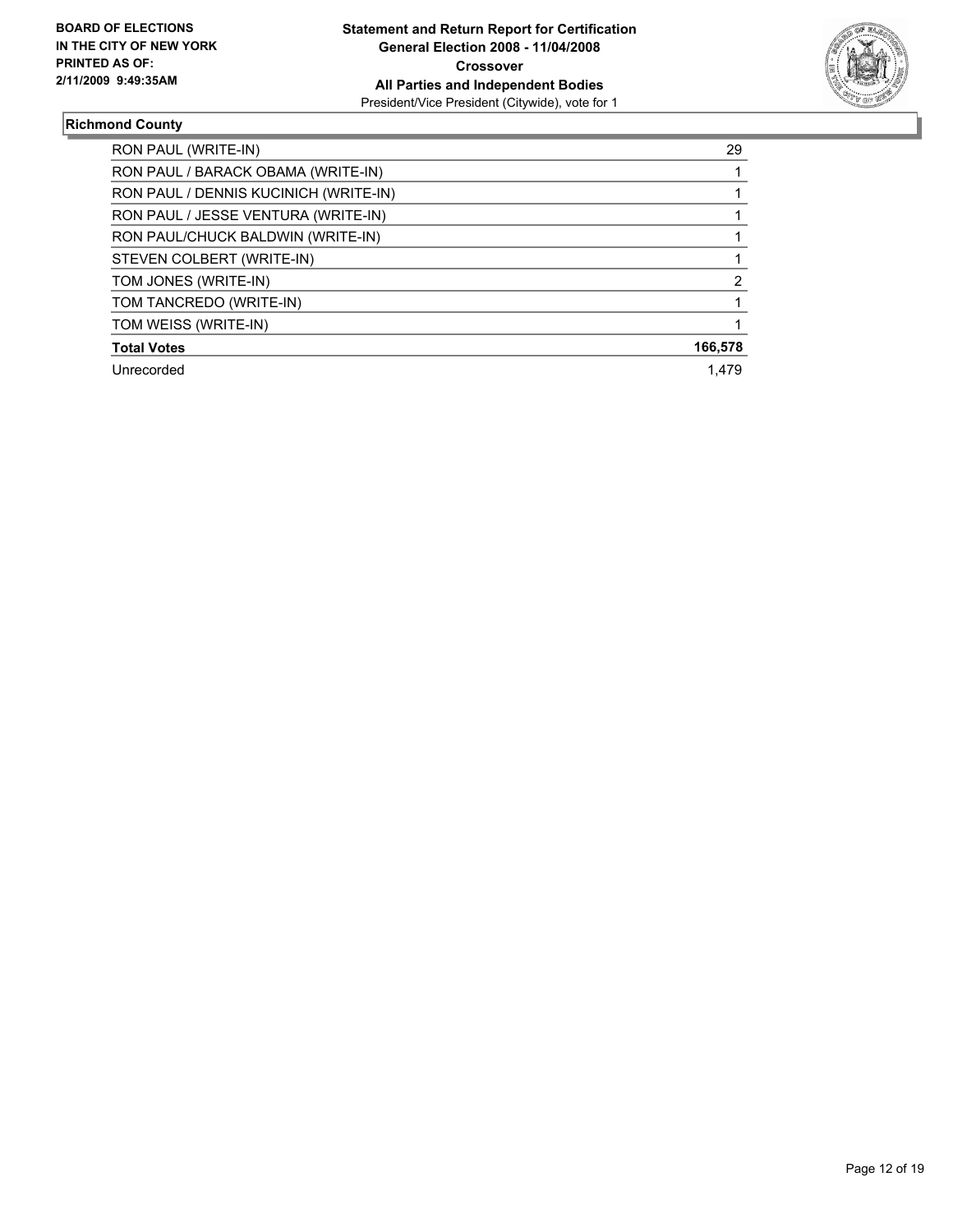

#### **Richmond County**

| RON PAUL (WRITE-IN)                   | 29      |
|---------------------------------------|---------|
| RON PAUL / BARACK OBAMA (WRITE-IN)    |         |
| RON PAUL / DENNIS KUCINICH (WRITE-IN) |         |
| RON PAUL / JESSE VENTURA (WRITE-IN)   |         |
| RON PAUL/CHUCK BALDWIN (WRITE-IN)     |         |
| STEVEN COLBERT (WRITE-IN)             |         |
| TOM JONES (WRITE-IN)                  |         |
| TOM TANCREDO (WRITE-IN)               |         |
| TOM WEISS (WRITE-IN)                  |         |
| <b>Total Votes</b>                    | 166,578 |
| Unrecorded                            | 1.479   |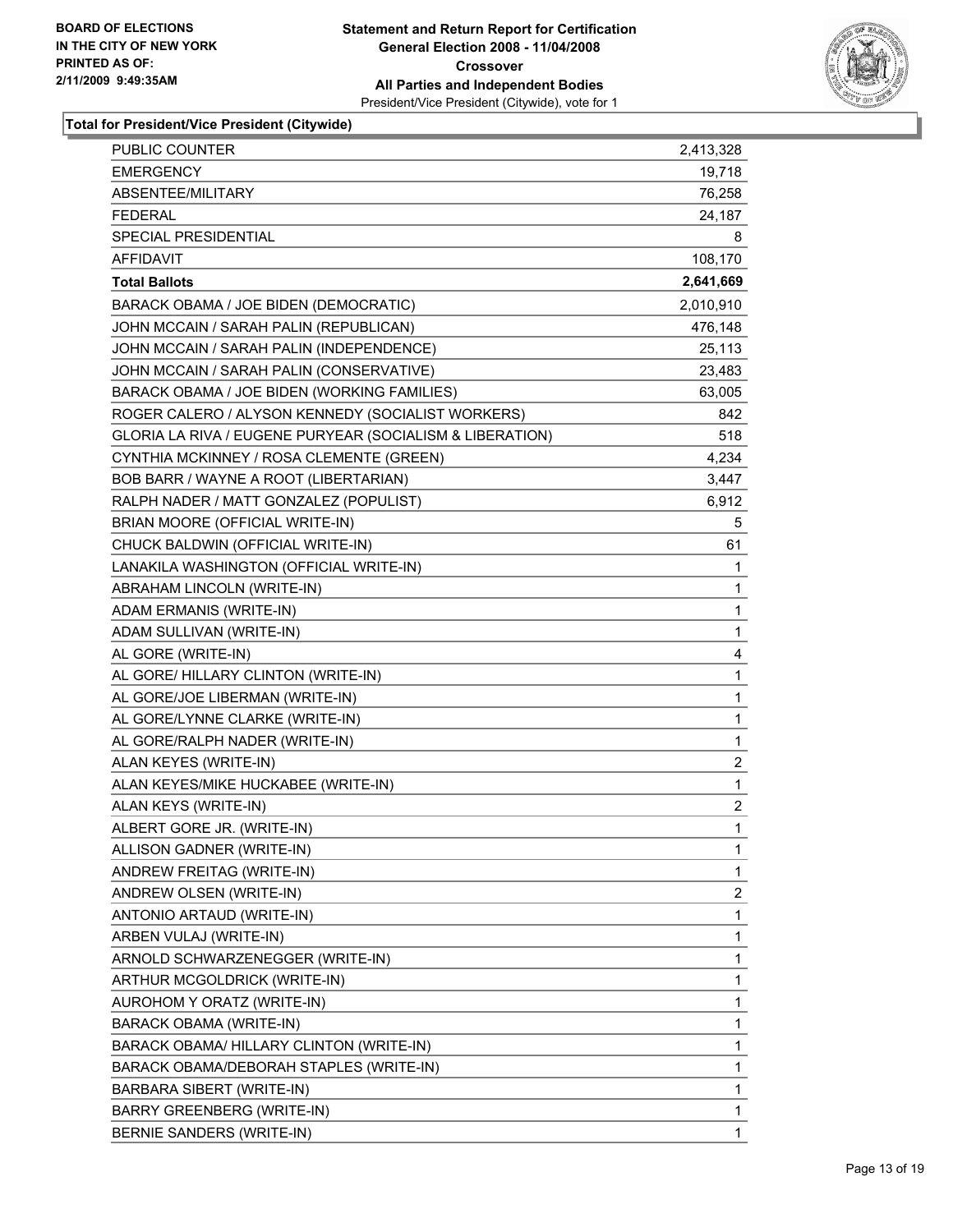

| <b>PUBLIC COUNTER</b>                                    | 2,413,328               |
|----------------------------------------------------------|-------------------------|
| <b>EMERGENCY</b>                                         | 19,718                  |
| ABSENTEE/MILITARY                                        | 76,258                  |
| <b>FEDERAL</b>                                           | 24,187                  |
| SPECIAL PRESIDENTIAL                                     | 8                       |
| <b>AFFIDAVIT</b>                                         | 108,170                 |
| <b>Total Ballots</b>                                     | 2,641,669               |
| BARACK OBAMA / JOE BIDEN (DEMOCRATIC)                    | 2,010,910               |
| JOHN MCCAIN / SARAH PALIN (REPUBLICAN)                   | 476,148                 |
| JOHN MCCAIN / SARAH PALIN (INDEPENDENCE)                 | 25,113                  |
| JOHN MCCAIN / SARAH PALIN (CONSERVATIVE)                 | 23,483                  |
| BARACK OBAMA / JOE BIDEN (WORKING FAMILIES)              | 63,005                  |
| ROGER CALERO / ALYSON KENNEDY (SOCIALIST WORKERS)        | 842                     |
| GLORIA LA RIVA / EUGENE PURYEAR (SOCIALISM & LIBERATION) | 518                     |
| CYNTHIA MCKINNEY / ROSA CLEMENTE (GREEN)                 | 4,234                   |
| BOB BARR / WAYNE A ROOT (LIBERTARIAN)                    | 3,447                   |
| RALPH NADER / MATT GONZALEZ (POPULIST)                   | 6,912                   |
| BRIAN MOORE (OFFICIAL WRITE-IN)                          | 5                       |
| CHUCK BALDWIN (OFFICIAL WRITE-IN)                        | 61                      |
| LANAKILA WASHINGTON (OFFICIAL WRITE-IN)                  | 1                       |
| ABRAHAM LINCOLN (WRITE-IN)                               | 1                       |
| ADAM ERMANIS (WRITE-IN)                                  | 1                       |
| ADAM SULLIVAN (WRITE-IN)                                 | 1                       |
| AL GORE (WRITE-IN)                                       | 4                       |
| AL GORE/ HILLARY CLINTON (WRITE-IN)                      | 1                       |
| AL GORE/JOE LIBERMAN (WRITE-IN)                          | 1                       |
| AL GORE/LYNNE CLARKE (WRITE-IN)                          | 1                       |
| AL GORE/RALPH NADER (WRITE-IN)                           | 1                       |
| ALAN KEYES (WRITE-IN)                                    | $\overline{\mathbf{c}}$ |
| ALAN KEYES/MIKE HUCKABEE (WRITE-IN)                      | 1                       |
| ALAN KEYS (WRITE-IN)                                     | $\overline{\mathbf{c}}$ |
| ALBERT GORE JR. (WRITE-IN)                               | 1                       |
| ALLISON GADNER (WRITE-IN)                                | 1                       |
| ANDREW FREITAG (WRITE-IN)                                | 1                       |
| ANDREW OLSEN (WRITE-IN)                                  | 2                       |
| ANTONIO ARTAUD (WRITE-IN)                                | 1                       |
| ARBEN VULAJ (WRITE-IN)                                   | 1                       |
| ARNOLD SCHWARZENEGGER (WRITE-IN)                         | 1                       |
| ARTHUR MCGOLDRICK (WRITE-IN)                             | 1                       |
| AUROHOM Y ORATZ (WRITE-IN)                               | 1                       |
| BARACK OBAMA (WRITE-IN)                                  | 1                       |
| BARACK OBAMA/ HILLARY CLINTON (WRITE-IN)                 | 1                       |
| BARACK OBAMA/DEBORAH STAPLES (WRITE-IN)                  | 1                       |
| BARBARA SIBERT (WRITE-IN)                                | 1                       |
| <b>BARRY GREENBERG (WRITE-IN)</b>                        | 1                       |
| BERNIE SANDERS (WRITE-IN)                                | 1                       |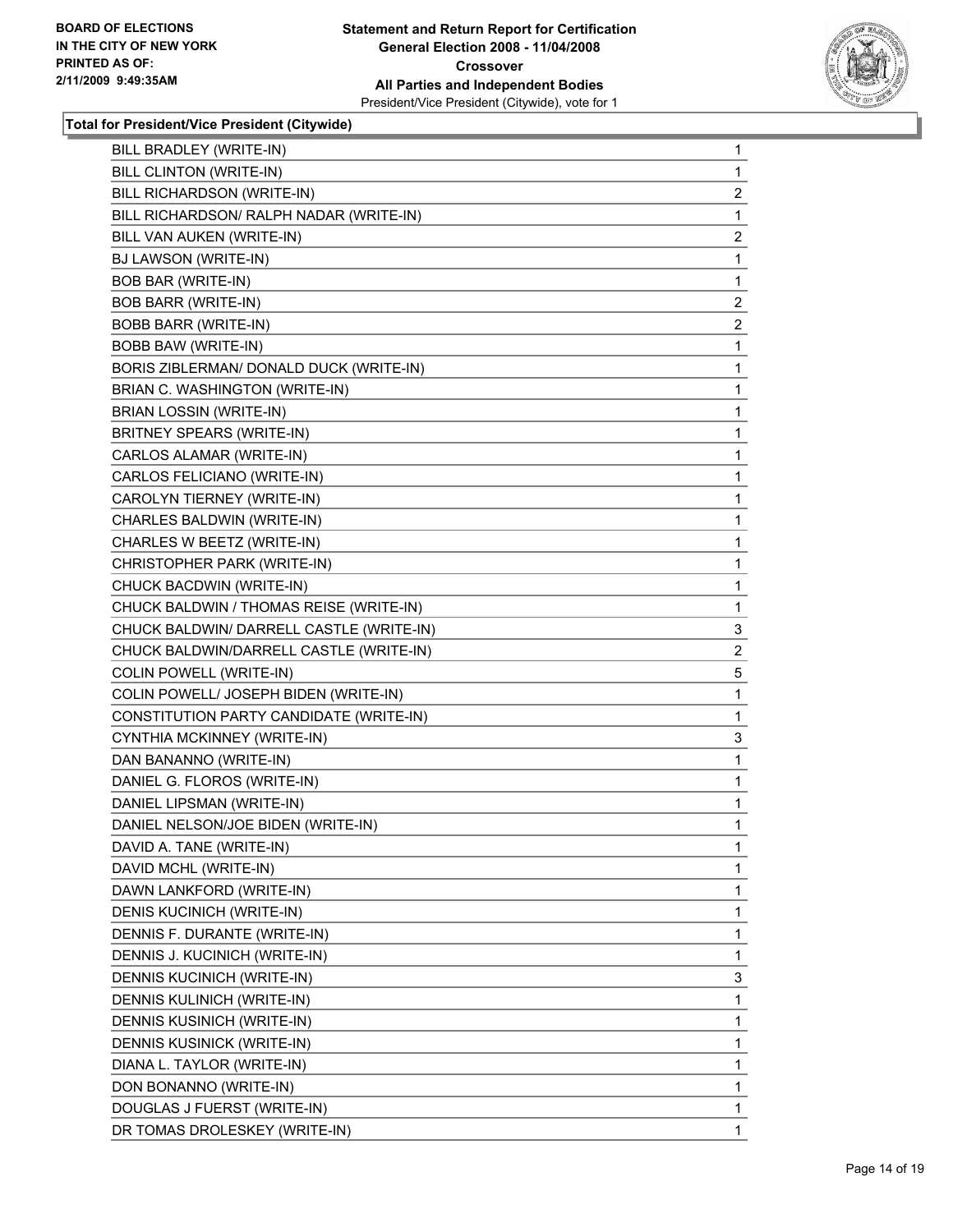

| BILL BRADLEY (WRITE-IN)                  | 1                       |
|------------------------------------------|-------------------------|
| BILL CLINTON (WRITE-IN)                  | 1                       |
| BILL RICHARDSON (WRITE-IN)               | 2                       |
| BILL RICHARDSON/ RALPH NADAR (WRITE-IN)  | 1                       |
| BILL VAN AUKEN (WRITE-IN)                | $\overline{\mathbf{c}}$ |
| BJ LAWSON (WRITE-IN)                     | 1                       |
| <b>BOB BAR (WRITE-IN)</b>                | 1                       |
| <b>BOB BARR (WRITE-IN)</b>               | $\overline{\mathbf{c}}$ |
| <b>BOBB BARR (WRITE-IN)</b>              | 2                       |
| <b>BOBB BAW (WRITE-IN)</b>               | 1                       |
| BORIS ZIBLERMAN/ DONALD DUCK (WRITE-IN)  | 1                       |
| BRIAN C. WASHINGTON (WRITE-IN)           | 1                       |
| <b>BRIAN LOSSIN (WRITE-IN)</b>           | 1                       |
| BRITNEY SPEARS (WRITE-IN)                | 1                       |
| CARLOS ALAMAR (WRITE-IN)                 | 1                       |
| CARLOS FELICIANO (WRITE-IN)              | 1                       |
| CAROLYN TIERNEY (WRITE-IN)               | 1                       |
| CHARLES BALDWIN (WRITE-IN)               | 1                       |
| CHARLES W BEETZ (WRITE-IN)               | 1                       |
| CHRISTOPHER PARK (WRITE-IN)              | 1                       |
| CHUCK BACDWIN (WRITE-IN)                 | 1                       |
| CHUCK BALDWIN / THOMAS REISE (WRITE-IN)  | 1                       |
| CHUCK BALDWIN/ DARRELL CASTLE (WRITE-IN) | 3                       |
| CHUCK BALDWIN/DARRELL CASTLE (WRITE-IN)  | $\overline{\mathbf{c}}$ |
| COLIN POWELL (WRITE-IN)                  | 5                       |
| COLIN POWELL/ JOSEPH BIDEN (WRITE-IN)    | 1                       |
| CONSTITUTION PARTY CANDIDATE (WRITE-IN)  | 1                       |
| CYNTHIA MCKINNEY (WRITE-IN)              | 3                       |
| DAN BANANNO (WRITE-IN)                   | 1                       |
| DANIEL G. FLOROS (WRITE-IN)              | 1                       |
| DANIEL LIPSMAN (WRITE-IN)                | 1                       |
| DANIEL NELSON/JOE BIDEN (WRITE-IN)       | 1                       |
| DAVID A. TANE (WRITE-IN)                 | 1                       |
| DAVID MCHL (WRITE-IN)                    | 1                       |
| DAWN LANKFORD (WRITE-IN)                 | 1                       |
| DENIS KUCINICH (WRITE-IN)                | 1                       |
| DENNIS F. DURANTE (WRITE-IN)             | 1                       |
| DENNIS J. KUCINICH (WRITE-IN)            | 1                       |
| DENNIS KUCINICH (WRITE-IN)               | 3                       |
| DENNIS KULINICH (WRITE-IN)               | 1                       |
| DENNIS KUSINICH (WRITE-IN)               | 1                       |
| DENNIS KUSINICK (WRITE-IN)               | 1                       |
| DIANA L. TAYLOR (WRITE-IN)               | 1                       |
| DON BONANNO (WRITE-IN)                   | 1                       |
| DOUGLAS J FUERST (WRITE-IN)              | 1                       |
| DR TOMAS DROLESKEY (WRITE-IN)            | 1                       |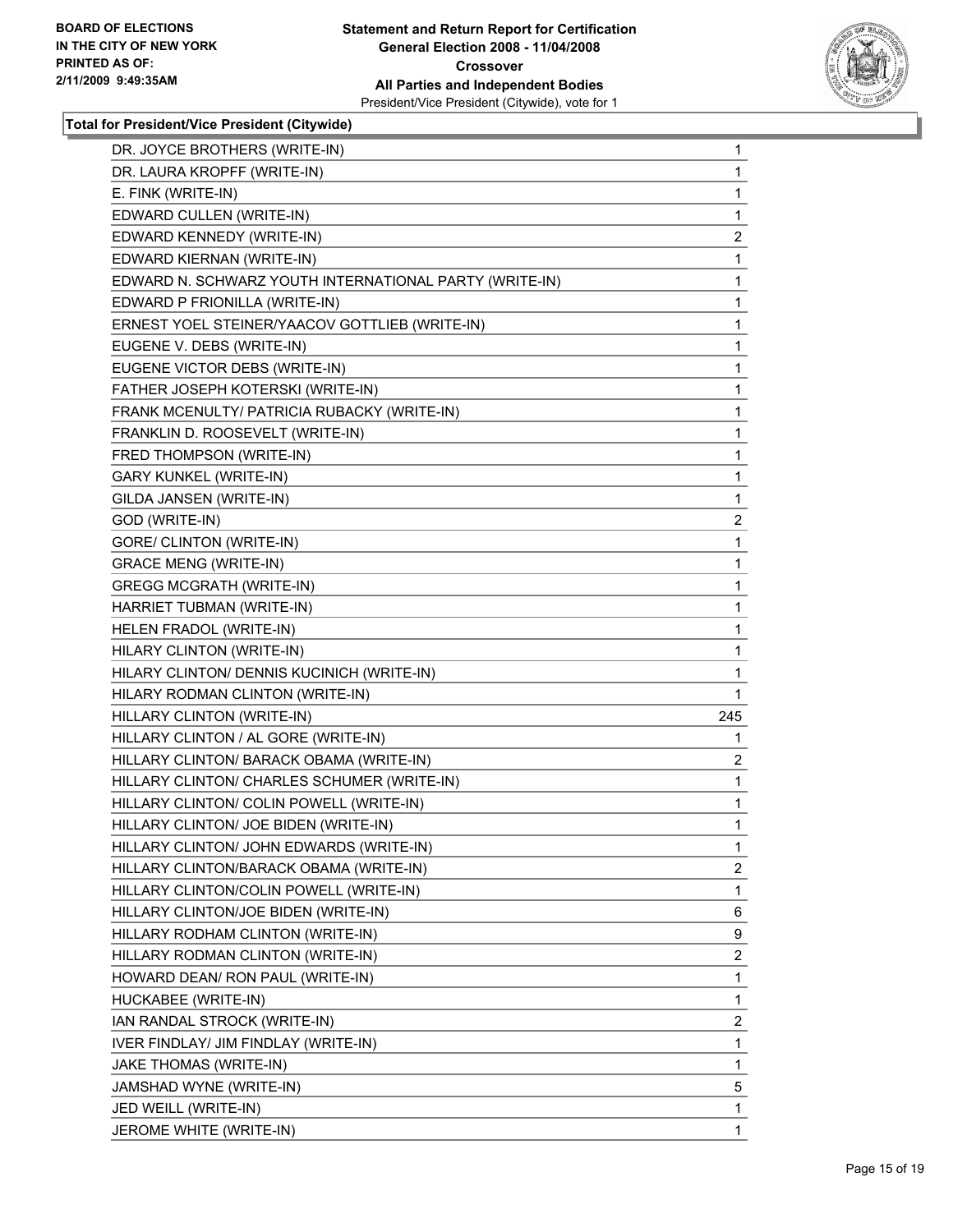

| DR. JOYCE BROTHERS (WRITE-IN)                          | 1                       |
|--------------------------------------------------------|-------------------------|
| DR. LAURA KROPFF (WRITE-IN)                            | 1                       |
| E. FINK (WRITE-IN)                                     | 1                       |
| EDWARD CULLEN (WRITE-IN)                               | 1                       |
| EDWARD KENNEDY (WRITE-IN)                              | $\overline{\mathbf{c}}$ |
| EDWARD KIERNAN (WRITE-IN)                              | $\mathbf{1}$            |
| EDWARD N. SCHWARZ YOUTH INTERNATIONAL PARTY (WRITE-IN) | 1                       |
| EDWARD P FRIONILLA (WRITE-IN)                          | 1                       |
| ERNEST YOEL STEINER/YAACOV GOTTLIEB (WRITE-IN)         | 1                       |
| EUGENE V. DEBS (WRITE-IN)                              | 1                       |
| EUGENE VICTOR DEBS (WRITE-IN)                          | 1                       |
| FATHER JOSEPH KOTERSKI (WRITE-IN)                      | $\mathbf{1}$            |
| FRANK MCENULTY/ PATRICIA RUBACKY (WRITE-IN)            | 1                       |
| FRANKLIN D. ROOSEVELT (WRITE-IN)                       | 1                       |
| FRED THOMPSON (WRITE-IN)                               | 1                       |
| <b>GARY KUNKEL (WRITE-IN)</b>                          | 1                       |
| GILDA JANSEN (WRITE-IN)                                | 1                       |
| GOD (WRITE-IN)                                         | $\overline{\mathbf{c}}$ |
| GORE/ CLINTON (WRITE-IN)                               | 1                       |
| <b>GRACE MENG (WRITE-IN)</b>                           | 1                       |
| <b>GREGG MCGRATH (WRITE-IN)</b>                        | 1                       |
| HARRIET TUBMAN (WRITE-IN)                              | 1                       |
| HELEN FRADOL (WRITE-IN)                                | 1                       |
| HILARY CLINTON (WRITE-IN)                              | 1                       |
| HILARY CLINTON/ DENNIS KUCINICH (WRITE-IN)             | 1                       |
| HILARY RODMAN CLINTON (WRITE-IN)                       | 1                       |
| HILLARY CLINTON (WRITE-IN)                             | 245                     |
| HILLARY CLINTON / AL GORE (WRITE-IN)                   | 1                       |
| HILLARY CLINTON/ BARACK OBAMA (WRITE-IN)               | $\overline{\mathbf{c}}$ |
| HILLARY CLINTON/ CHARLES SCHUMER (WRITE-IN)            | $\mathbf{1}$            |
| HILLARY CLINTON/ COLIN POWELL (WRITE-IN)               | 1                       |
| HILLARY CLINTON/ JOE BIDEN (WRITE-IN)                  | 1                       |
| HILLARY CLINTON/ JOHN EDWARDS (WRITE-IN)               | $\mathbf 1$             |
| HILLARY CLINTON/BARACK OBAMA (WRITE-IN)                | $\overline{\mathbf{c}}$ |
| HILLARY CLINTON/COLIN POWELL (WRITE-IN)                | 1                       |
| HILLARY CLINTON/JOE BIDEN (WRITE-IN)                   | 6                       |
| HILLARY RODHAM CLINTON (WRITE-IN)                      | 9                       |
| HILLARY RODMAN CLINTON (WRITE-IN)                      | $\overline{\mathbf{c}}$ |
| HOWARD DEAN/ RON PAUL (WRITE-IN)                       | $\mathbf{1}$            |
| HUCKABEE (WRITE-IN)                                    | $\mathbf{1}$            |
| IAN RANDAL STROCK (WRITE-IN)                           | $\overline{c}$          |
| IVER FINDLAY/ JIM FINDLAY (WRITE-IN)                   | 1                       |
| JAKE THOMAS (WRITE-IN)                                 | 1                       |
| JAMSHAD WYNE (WRITE-IN)                                | 5                       |
| JED WEILL (WRITE-IN)                                   | 1                       |
| JEROME WHITE (WRITE-IN)                                | 1                       |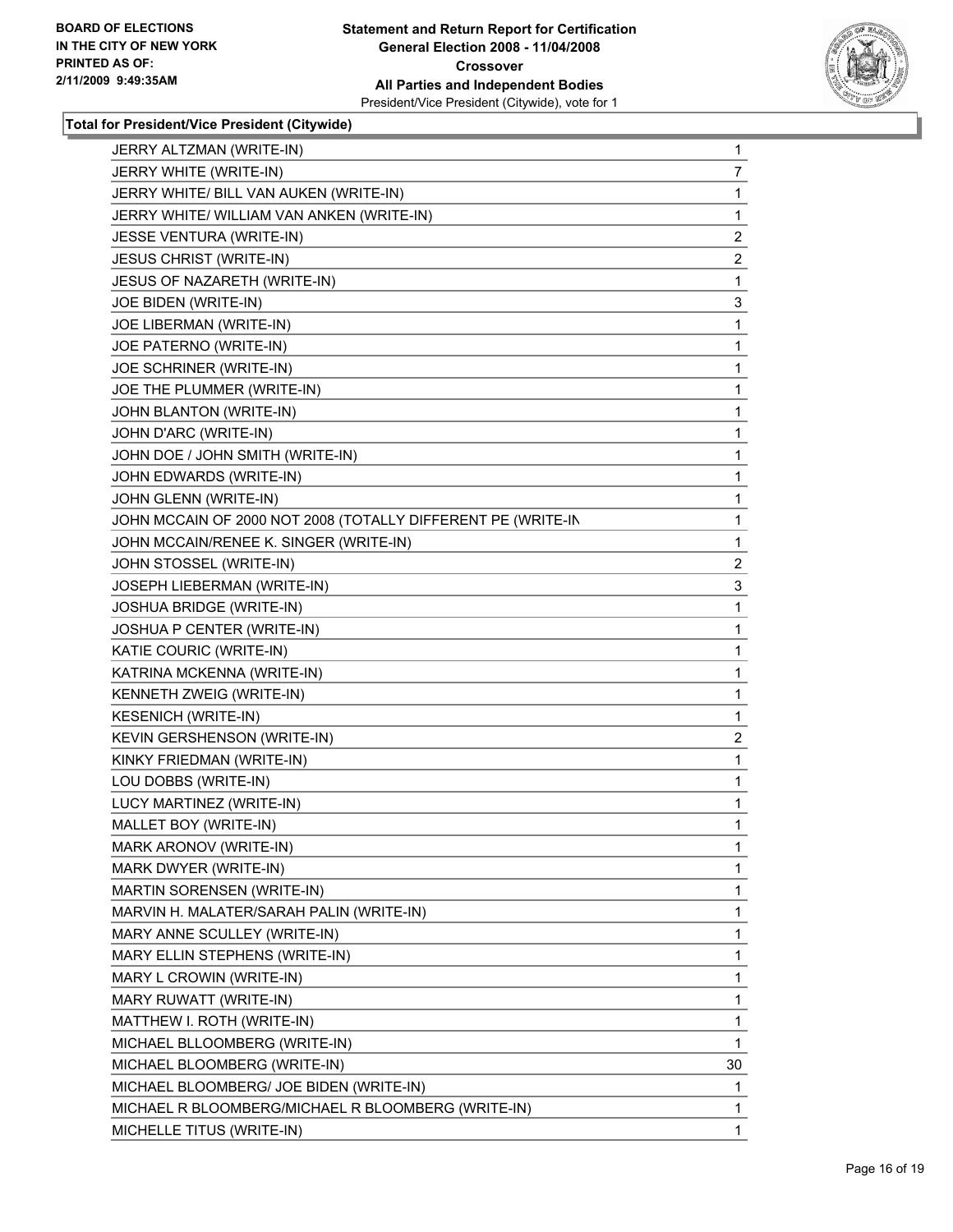

| JERRY ALTZMAN (WRITE-IN)                                     | 1                       |
|--------------------------------------------------------------|-------------------------|
| JERRY WHITE (WRITE-IN)                                       | 7                       |
| JERRY WHITE/ BILL VAN AUKEN (WRITE-IN)                       | 1                       |
| JERRY WHITE/ WILLIAM VAN ANKEN (WRITE-IN)                    | 1                       |
| <b>JESSE VENTURA (WRITE-IN)</b>                              | 2                       |
| <b>JESUS CHRIST (WRITE-IN)</b>                               | 2                       |
| JESUS OF NAZARETH (WRITE-IN)                                 | 1                       |
| JOE BIDEN (WRITE-IN)                                         | 3                       |
| JOE LIBERMAN (WRITE-IN)                                      | 1                       |
| JOE PATERNO (WRITE-IN)                                       | 1                       |
| JOE SCHRINER (WRITE-IN)                                      | 1                       |
| JOE THE PLUMMER (WRITE-IN)                                   | 1                       |
| JOHN BLANTON (WRITE-IN)                                      | 1                       |
| JOHN D'ARC (WRITE-IN)                                        | 1                       |
| JOHN DOE / JOHN SMITH (WRITE-IN)                             | 1                       |
| JOHN EDWARDS (WRITE-IN)                                      | 1                       |
| JOHN GLENN (WRITE-IN)                                        | 1                       |
| JOHN MCCAIN OF 2000 NOT 2008 (TOTALLY DIFFERENT PE (WRITE-IN | 1                       |
| JOHN MCCAIN/RENEE K. SINGER (WRITE-IN)                       | 1                       |
| JOHN STOSSEL (WRITE-IN)                                      | $\overline{\mathbf{c}}$ |
| <b>JOSEPH LIEBERMAN (WRITE-IN)</b>                           | 3                       |
| JOSHUA BRIDGE (WRITE-IN)                                     | 1                       |
| JOSHUA P CENTER (WRITE-IN)                                   | 1                       |
| KATIE COURIC (WRITE-IN)                                      | 1                       |
| KATRINA MCKENNA (WRITE-IN)                                   | 1                       |
| KENNETH ZWEIG (WRITE-IN)                                     | 1                       |
| <b>KESENICH (WRITE-IN)</b>                                   | 1                       |
| KEVIN GERSHENSON (WRITE-IN)                                  | 2                       |
| KINKY FRIEDMAN (WRITE-IN)                                    | 1                       |
| LOU DOBBS (WRITE-IN)                                         | 1                       |
| LUCY MARTINEZ (WRITE-IN)                                     | 1                       |
| MALLET BOY (WRITE-IN)                                        | 1                       |
| MARK ARONOV (WRITE-IN)                                       | 1                       |
| MARK DWYER (WRITE-IN)                                        | 1                       |
| MARTIN SORENSEN (WRITE-IN)                                   | 1                       |
| MARVIN H. MALATER/SARAH PALIN (WRITE-IN)                     | 1                       |
| MARY ANNE SCULLEY (WRITE-IN)                                 | 1                       |
| MARY ELLIN STEPHENS (WRITE-IN)                               | 1                       |
| MARY L CROWIN (WRITE-IN)                                     | 1                       |
| MARY RUWATT (WRITE-IN)                                       | 1                       |
| MATTHEW I. ROTH (WRITE-IN)                                   | 1                       |
| MICHAEL BLLOOMBERG (WRITE-IN)                                | 1                       |
| MICHAEL BLOOMBERG (WRITE-IN)                                 | 30                      |
| MICHAEL BLOOMBERG/ JOE BIDEN (WRITE-IN)                      | 1                       |
| MICHAEL R BLOOMBERG/MICHAEL R BLOOMBERG (WRITE-IN)           | 1                       |
| MICHELLE TITUS (WRITE-IN)                                    | 1                       |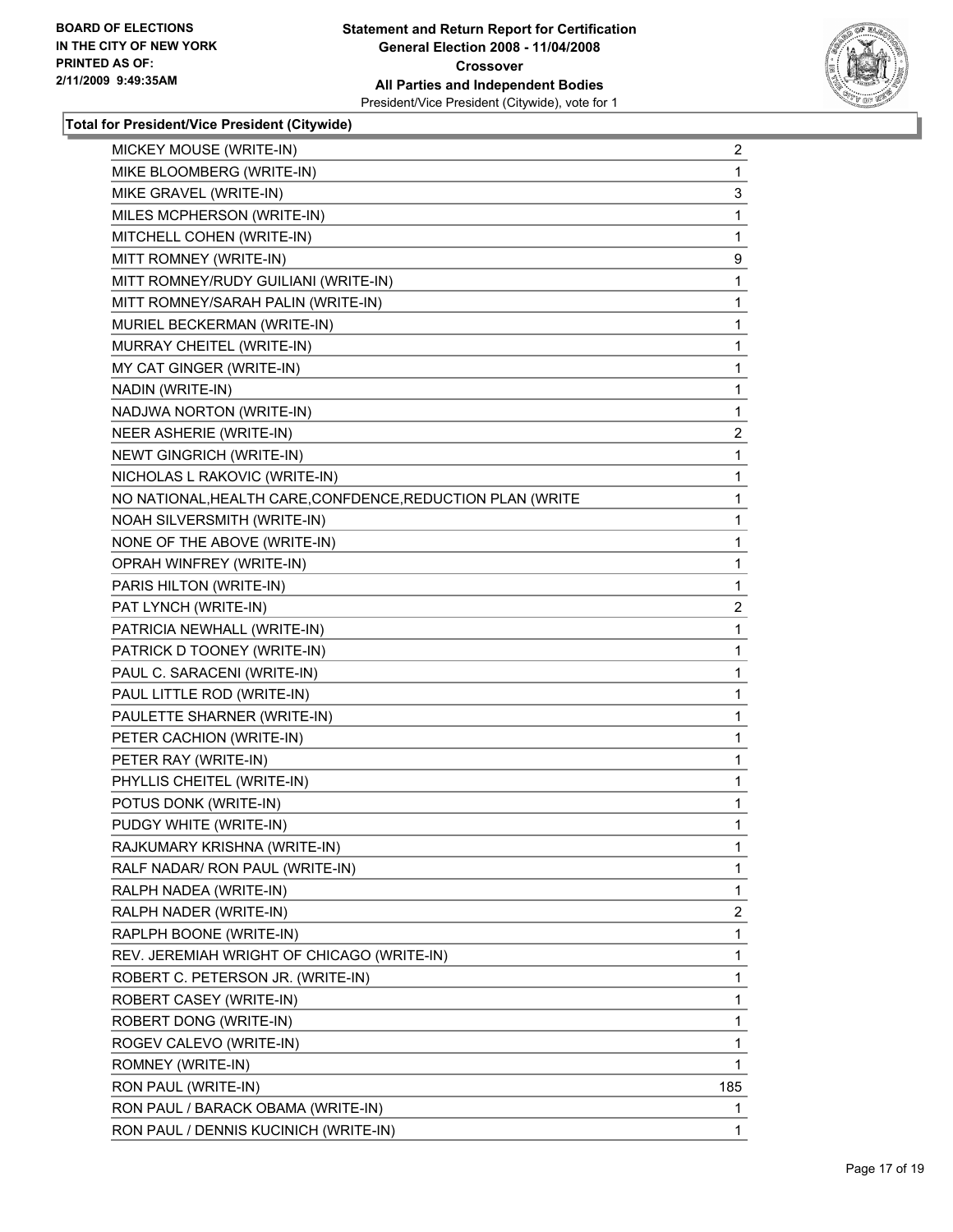

| MICKEY MOUSE (WRITE-IN)                                    | $\overline{\mathbf{c}}$ |
|------------------------------------------------------------|-------------------------|
| MIKE BLOOMBERG (WRITE-IN)                                  | 1                       |
| MIKE GRAVEL (WRITE-IN)                                     | 3                       |
| MILES MCPHERSON (WRITE-IN)                                 | 1                       |
| MITCHELL COHEN (WRITE-IN)                                  | 1                       |
| MITT ROMNEY (WRITE-IN)                                     | 9                       |
| MITT ROMNEY/RUDY GUILIANI (WRITE-IN)                       | 1                       |
| MITT ROMNEY/SARAH PALIN (WRITE-IN)                         | 1                       |
| MURIEL BECKERMAN (WRITE-IN)                                | 1                       |
| MURRAY CHEITEL (WRITE-IN)                                  | 1                       |
| MY CAT GINGER (WRITE-IN)                                   | 1                       |
| NADIN (WRITE-IN)                                           | 1                       |
| NADJWA NORTON (WRITE-IN)                                   | 1                       |
| NEER ASHERIE (WRITE-IN)                                    | 2                       |
| NEWT GINGRICH (WRITE-IN)                                   | 1                       |
| NICHOLAS L RAKOVIC (WRITE-IN)                              | 1                       |
| NO NATIONAL, HEALTH CARE, CONFDENCE, REDUCTION PLAN (WRITE | 1                       |
| NOAH SILVERSMITH (WRITE-IN)                                | 1                       |
| NONE OF THE ABOVE (WRITE-IN)                               | 1                       |
| OPRAH WINFREY (WRITE-IN)                                   | 1                       |
| PARIS HILTON (WRITE-IN)                                    | 1                       |
| PAT LYNCH (WRITE-IN)                                       | 2                       |
| PATRICIA NEWHALL (WRITE-IN)                                | 1                       |
| PATRICK D TOONEY (WRITE-IN)                                | 1                       |
| PAUL C. SARACENI (WRITE-IN)                                | 1                       |
| PAUL LITTLE ROD (WRITE-IN)                                 | 1                       |
| PAULETTE SHARNER (WRITE-IN)                                | 1                       |
| PETER CACHION (WRITE-IN)                                   | 1                       |
| PETER RAY (WRITE-IN)                                       | 1                       |
| PHYLLIS CHEITEL (WRITE-IN)                                 | 1                       |
| POTUS DONK (WRITE-IN)                                      | 1                       |
| PUDGY WHITE (WRITE-IN)                                     | 1                       |
| RAJKUMARY KRISHNA (WRITE-IN)                               | 1                       |
| RALF NADAR/ RON PAUL (WRITE-IN)                            | 1                       |
| RALPH NADEA (WRITE-IN)                                     | 1                       |
| RALPH NADER (WRITE-IN)                                     | 2                       |
| RAPLPH BOONE (WRITE-IN)                                    | 1                       |
| REV. JEREMIAH WRIGHT OF CHICAGO (WRITE-IN)                 | 1                       |
| ROBERT C. PETERSON JR. (WRITE-IN)                          | 1                       |
| ROBERT CASEY (WRITE-IN)                                    | 1                       |
| ROBERT DONG (WRITE-IN)                                     | 1                       |
| ROGEV CALEVO (WRITE-IN)                                    | 1                       |
| ROMNEY (WRITE-IN)                                          | 1                       |
| RON PAUL (WRITE-IN)                                        | 185                     |
| RON PAUL / BARACK OBAMA (WRITE-IN)                         | 1                       |
| RON PAUL / DENNIS KUCINICH (WRITE-IN)                      | 1                       |
|                                                            |                         |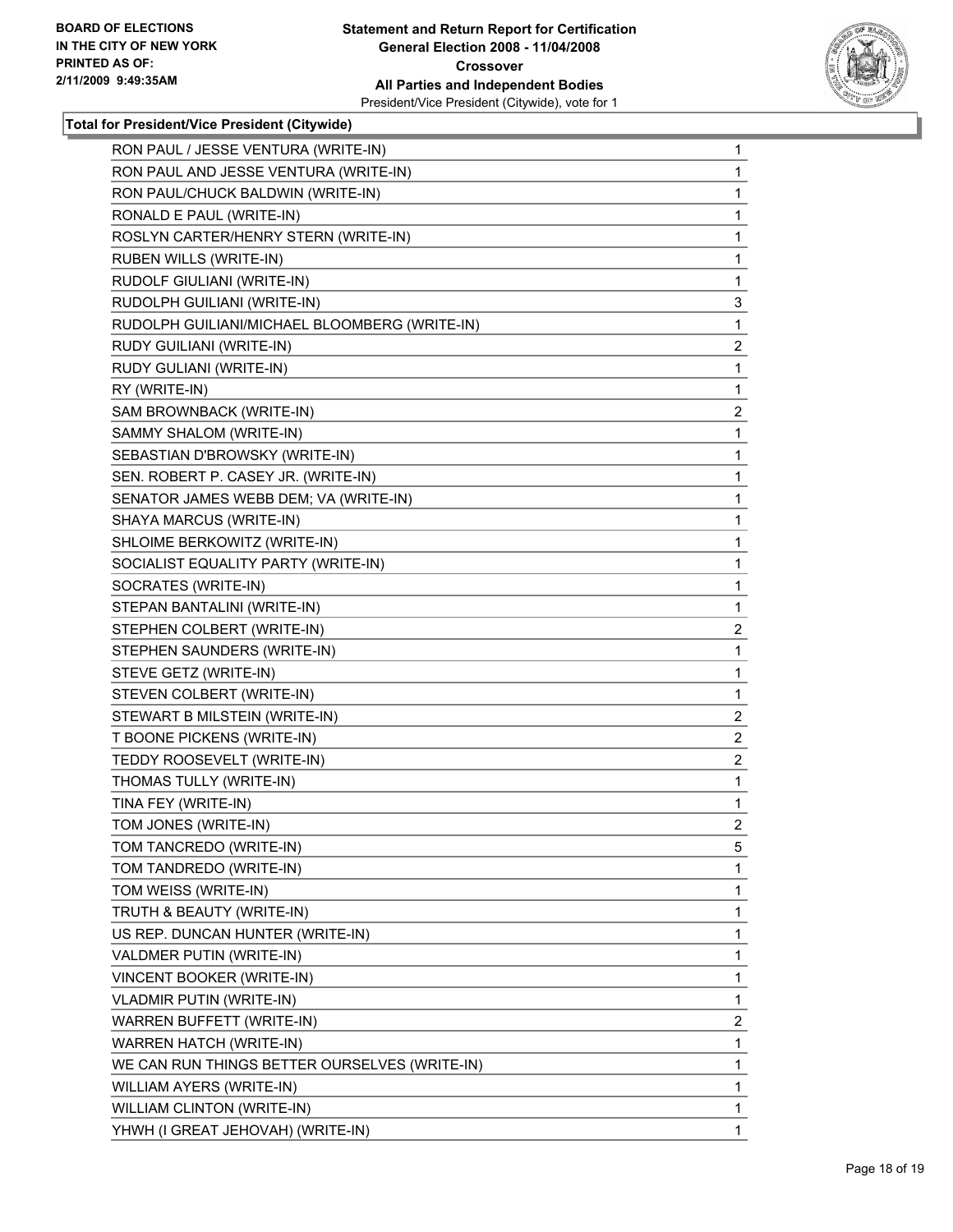

| RON PAUL / JESSE VENTURA (WRITE-IN)           | 1                       |
|-----------------------------------------------|-------------------------|
| RON PAUL AND JESSE VENTURA (WRITE-IN)         | 1                       |
| RON PAUL/CHUCK BALDWIN (WRITE-IN)             | 1                       |
| RONALD E PAUL (WRITE-IN)                      | 1                       |
| ROSLYN CARTER/HENRY STERN (WRITE-IN)          | 1                       |
| RUBEN WILLS (WRITE-IN)                        | 1                       |
| RUDOLF GIULIANI (WRITE-IN)                    | 1                       |
| RUDOLPH GUILIANI (WRITE-IN)                   | 3                       |
| RUDOLPH GUILIANI/MICHAEL BLOOMBERG (WRITE-IN) | 1                       |
| RUDY GUILIANI (WRITE-IN)                      | 2                       |
| RUDY GULIANI (WRITE-IN)                       | 1                       |
| RY (WRITE-IN)                                 | 1                       |
| SAM BROWNBACK (WRITE-IN)                      | $\overline{\mathbf{c}}$ |
| SAMMY SHALOM (WRITE-IN)                       | 1                       |
| SEBASTIAN D'BROWSKY (WRITE-IN)                | 1                       |
| SEN. ROBERT P. CASEY JR. (WRITE-IN)           | 1                       |
| SENATOR JAMES WEBB DEM; VA (WRITE-IN)         | 1                       |
| SHAYA MARCUS (WRITE-IN)                       | 1                       |
| SHLOIME BERKOWITZ (WRITE-IN)                  | 1                       |
| SOCIALIST EQUALITY PARTY (WRITE-IN)           | 1                       |
| SOCRATES (WRITE-IN)                           | 1                       |
| STEPAN BANTALINI (WRITE-IN)                   | 1                       |
| STEPHEN COLBERT (WRITE-IN)                    | $\overline{\mathbf{c}}$ |
| STEPHEN SAUNDERS (WRITE-IN)                   | 1                       |
| STEVE GETZ (WRITE-IN)                         | 1                       |
| STEVEN COLBERT (WRITE-IN)                     | 1                       |
| STEWART B MILSTEIN (WRITE-IN)                 | $\overline{\mathbf{c}}$ |
| T BOONE PICKENS (WRITE-IN)                    | $\overline{\mathbf{c}}$ |
| TEDDY ROOSEVELT (WRITE-IN)                    | $\overline{c}$          |
| THOMAS TULLY (WRITE-IN)                       | 1                       |
| TINA FEY (WRITE-IN)                           | 1                       |
| TOM JONES (WRITE-IN)                          | $\overline{2}$          |
| TOM TANCREDO (WRITE-IN)                       | 5                       |
| TOM TANDREDO (WRITE-IN)                       | 1                       |
| TOM WEISS (WRITE-IN)                          | 1                       |
| TRUTH & BEAUTY (WRITE-IN)                     | 1                       |
| US REP. DUNCAN HUNTER (WRITE-IN)              | 1                       |
| VALDMER PUTIN (WRITE-IN)                      | 1                       |
| VINCENT BOOKER (WRITE-IN)                     | 1                       |
| <b>VLADMIR PUTIN (WRITE-IN)</b>               | 1                       |
| <b>WARREN BUFFETT (WRITE-IN)</b>              | $\overline{c}$          |
| WARREN HATCH (WRITE-IN)                       | 1                       |
| WE CAN RUN THINGS BETTER OURSELVES (WRITE-IN) | 1                       |
| WILLIAM AYERS (WRITE-IN)                      | 1                       |
| WILLIAM CLINTON (WRITE-IN)                    | 1                       |
| YHWH (I GREAT JEHOVAH) (WRITE-IN)             | 1                       |